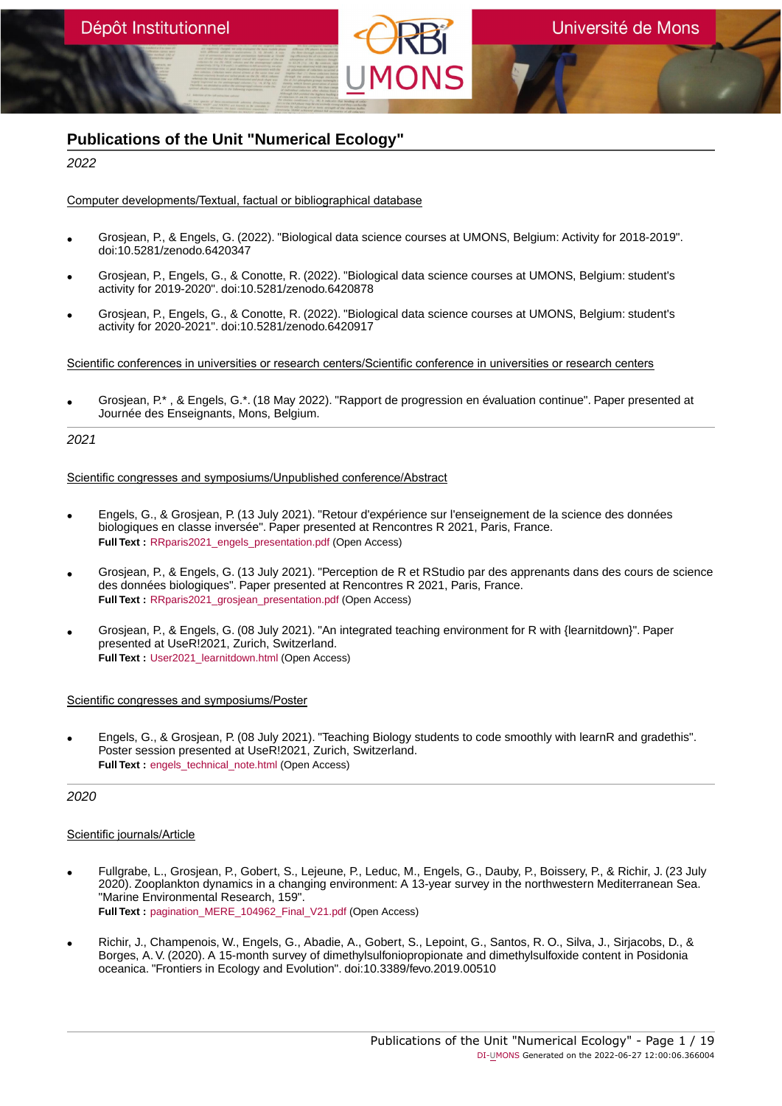

# **Publications of the Unit "Numerical Ecology"**

2022

# Computer developments/Textual, factual or bibliographical database

- Grosjean, P., & Engels, G. (2022). "Biological data science courses at UMONS, Belgium: Activity for 2018-2019". doi:10.5281/zenodo.6420347
- Grosjean, P., Engels, G., & Conotte, R. (2022). "Biological data science courses at UMONS, Belgium: student's activity for 2019-2020". doi:10.5281/zenodo.6420878
- Grosjean, P., Engels, G., & Conotte, R. (2022). "Biological data science courses at UMONS, Belgium: student's activity for 2020-2021". doi:10.5281/zenodo.6420917

Scientific conferences in universities or research centers/Scientific conference in universities or research centers

• Grosjean, P.\* , & Engels, G.\*. (18 May 2022). "Rapport de progression en évaluation continue". Paper presented at Journée des Enseignants, Mons, Belgium.

2021

# Scientific congresses and symposiums/Unpublished conference/Abstract

- Engels, G., & Grosjean, P. (13 July 2021). "Retour d'expérience sur l'enseignement de la science des données biologiques en classe inversée". Paper presented at Rencontres R 2021, Paris, France. **Full Text :** [RRparis2021\\_engels\\_presentation.pdf](https://orbi.umons.ac.be/bitstream/20.500.12907/35553/1/RRparis2021_engels_presentation.pdf) (Open Access)
- Grosjean, P., & Engels, G. (13 July 2021). "Perception de R et RStudio par des apprenants dans des cours de science des données biologiques". Paper presented at Rencontres R 2021, Paris, France. **Full Text :** [RRparis2021\\_grosjean\\_presentation.pdf](https://orbi.umons.ac.be/bitstream/20.500.12907/1087/1/RRparis2021_grosjean_presentation.pdf) (Open Access)
- Grosjean, P., & Engels, G. (08 July 2021). "An integrated teaching environment for R with {learnitdown}". Paper presented at UseR!2021, Zurich, Switzerland. **Full Text : User2021 learnitdown.html (Open Access)**

# Scientific congresses and symposiums/Poster

• Engels, G., & Grosjean, P. (08 July 2021). "Teaching Biology students to code smoothly with learnR and gradethis". Poster session presented at UseR!2021, Zurich, Switzerland. **Full Text :** [engels\\_technical\\_note.html](https://orbi.umons.ac.be/bitstream/20.500.12907/34660/1/engels_technical_note.html) (Open Access)

# 2020

- Fullgrabe, L., Grosjean, P., Gobert, S., Lejeune, P., Leduc, M., Engels, G., Dauby, P., Boissery, P., & Richir, J. (23 July 2020). Zooplankton dynamics in a changing environment: A 13-year survey in the northwestern Mediterranean Sea. "Marine Environmental Research, 159". **Full Text :** [pagination\\_MERE\\_104962\\_Final\\_V21.pdf](https://orbi.umons.ac.be/bitstream/20.500.12907/27875/1/pagination_MERE_104962_Final_V21.pdf) (Open Access)
- Richir, J., Champenois, W., Engels, G., Abadie, A., Gobert, S., Lepoint, G., Santos, R. O., Silva, J., Sirjacobs, D., & Borges, A. V. (2020). A 15-month survey of dimethylsulfoniopropionate and dimethylsulfoxide content in Posidonia oceanica. "Frontiers in Ecology and Evolution". doi:10.3389/fevo.2019.00510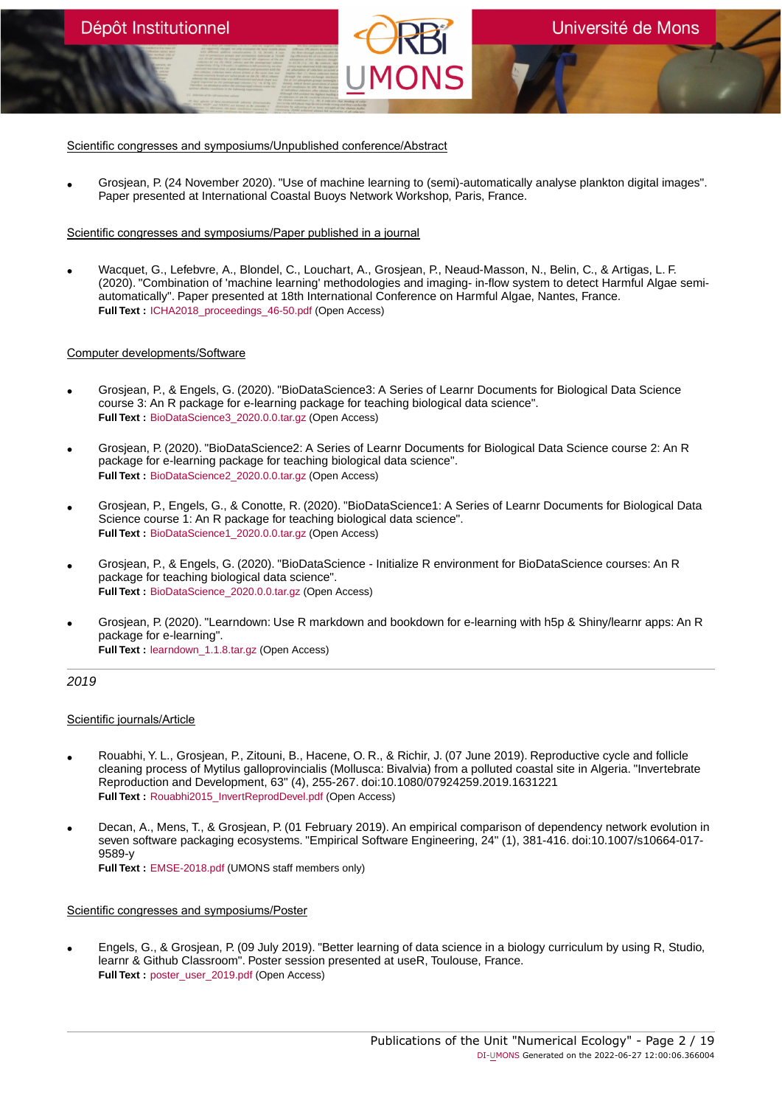Scientific congresses and symposiums/Unpublished conference/Abstract

• Grosjean, P. (24 November 2020). "Use of machine learning to (semi)-automatically analyse plankton digital images". Paper presented at International Coastal Buoys Network Workshop, Paris, France.

#### Scientific congresses and symposiums/Paper published in a journal

• Wacquet, G., Lefebvre, A., Blondel, C., Louchart, A., Grosjean, P., Neaud-Masson, N., Belin, C., & Artigas, L. F. (2020). "Combination of 'machine learning' methodologies and imaging- in-flow system to detect Harmful Algae semiautomatically". Paper presented at 18th International Conference on Harmful Algae, Nantes, France. **Full Text :** ICHA2018 proceedings 46-50.pdf (Open Access)

#### Computer developments/Software

Dépôt Institutionnel

- Grosjean, P., & Engels, G. (2020). "BioDataScience3: A Series of Learnr Documents for Biological Data Science course 3: An R package for e-learning package for teaching biological data science". **Full Text :** [BioDataScience3\\_2020.0.0.tar.gz](https://orbi.umons.ac.be/bitstream/20.500.12907/19082/1/BioDataScience3_2020.0.0.tar.gz) (Open Access)
- Grosjean, P. (2020). "BioDataScience2: A Series of Learnr Documents for Biological Data Science course 2: An R package for e-learning package for teaching biological data science". **Full Text :** [BioDataScience2\\_2020.0.0.tar.gz](https://orbi.umons.ac.be/bitstream/20.500.12907/36179/1/BioDataScience2_2020.0.0.tar.gz) (Open Access)
- Grosjean, P., Engels, G., & Conotte, R. (2020). "BioDataScience1: A Series of Learnr Documents for Biological Data Science course 1: An R package for teaching biological data science". **Full Text :** [BioDataScience1\\_2020.0.0.tar.gz](https://orbi.umons.ac.be/bitstream/20.500.12907/25666/1/BioDataScience1_2020.0.0.tar.gz) (Open Access)
- Grosjean, P., & Engels, G. (2020). "BioDataScience Initialize R environment for BioDataScience courses: An R package for teaching biological data science". **Full Text :** [BioDataScience\\_2020.0.0.tar.gz](https://orbi.umons.ac.be/bitstream/20.500.12907/18905/1/BioDataScience_2020.0.0.tar.gz) (Open Access)
- Grosjean, P. (2020). "Learndown: Use R markdown and bookdown for e-learning with h5p & Shiny/learnr apps: An R package for e-learning". **Full Text :** [learndown\\_1.1.8.tar.gz](https://orbi.umons.ac.be/bitstream/20.500.12907/30664/1/learndown_1.1.8.tar.gz) (Open Access)

# 2019

# Scientific journals/Article

- Rouabhi, Y. L., Grosjean, P., Zitouni, B., Hacene, O. R., & Richir, J. (07 June 2019). Reproductive cycle and follicle cleaning process of Mytilus galloprovincialis (Mollusca: Bivalvia) from a polluted coastal site in Algeria. "Invertebrate Reproduction and Development, 63" (4), 255-267. doi:10.1080/07924259.2019.1631221 **Full Text :** [Rouabhi2015\\_InvertReprodDevel.pdf](https://orbi.umons.ac.be/bitstream/20.500.12907/21394/1/Rouabhi2015_InvertReprodDevel.pdf) (Open Access)
- Decan, A., Mens, T., & Grosjean, P. (01 February 2019). An empirical comparison of dependency network evolution in seven software packaging ecosystems. "Empirical Software Engineering, 24" (1), 381-416. doi:10.1007/s10664-017- 9589-y **Full Text :** [EMSE-2018.pdf](https://orbi.umons.ac.be/bitstream/20.500.12907/25206/1/EMSE-2018.pdf) (UMONS staff members only)

#### Scientific congresses and symposiums/Poster

• Engels, G., & Grosjean, P. (09 July 2019). "Better learning of data science in a biology curriculum by using R, Studio, learnr & Github Classroom". Poster session presented at useR, Toulouse, France. **Full Text :** [poster\\_user\\_2019.pdf](https://orbi.umons.ac.be/bitstream/20.500.12907/31497/1/poster_user_2019.pdf) (Open Access)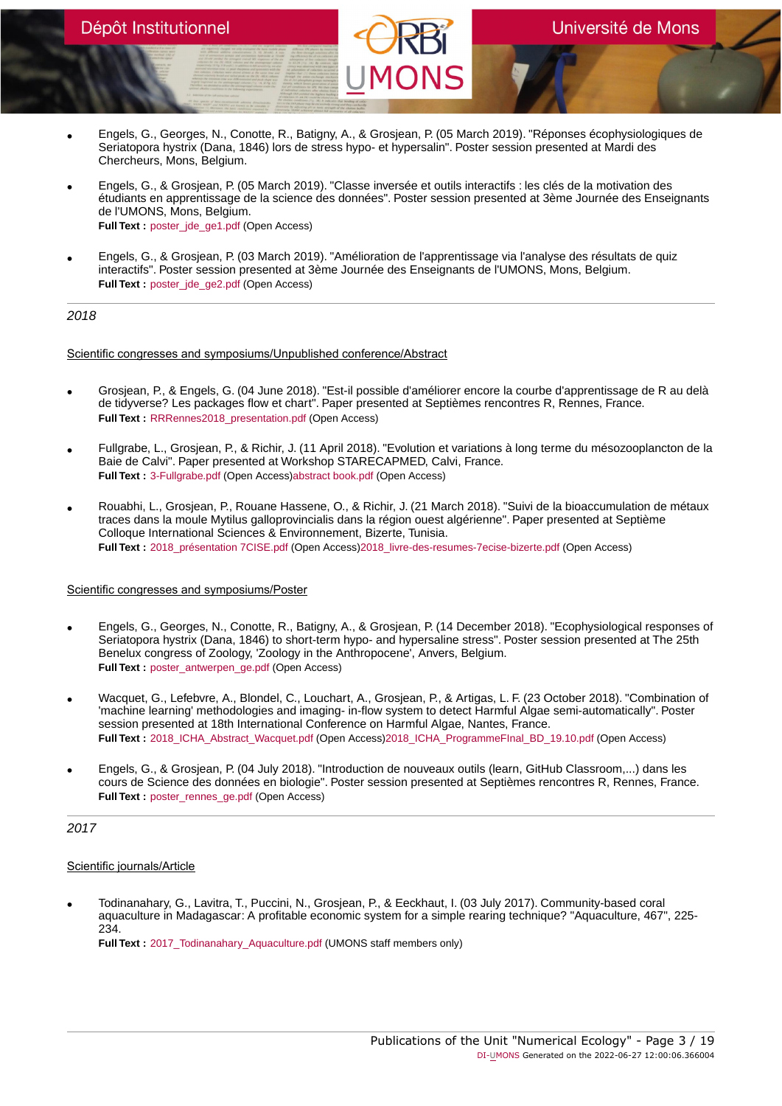- Engels, G., Georges, N., Conotte, R., Batigny, A., & Grosjean, P. (05 March 2019). "Réponses écophysiologiques de Seriatopora hystrix (Dana, 1846) lors de stress hypo- et hypersalin". Poster session presented at Mardi des Chercheurs, Mons, Belgium.
- Engels, G., & Grosjean, P. (05 March 2019). "Classe inversée et outils interactifs : les clés de la motivation des étudiants en apprentissage de la science des données". Poster session presented at 3ème Journée des Enseignants de l'UMONS, Mons, Belgium. **Full Text :** poster\_ide\_ge1.pdf (Open Access)
- Engels, G., & Grosjean, P. (03 March 2019). "Amélioration de l'apprentissage via l'analyse des résultats de quiz interactifs". Poster session presented at 3ème Journée des Enseignants de l'UMONS, Mons, Belgium. **Full Text :** poster\_ide\_ge2.pdf (Open Access)

2018

Scientific congresses and symposiums/Unpublished conference/Abstract

- Grosjean, P., & Engels, G. (04 June 2018). "Est-il possible d'améliorer encore la courbe d'apprentissage de R au delà de tidyverse? Les packages flow et chart". Paper presented at Septièmes rencontres R, Rennes, France. **Full Text: RRRennes2018** presentation.pdf (Open Access)
- Fullgrabe, L., Grosjean, P., & Richir, J. (11 April 2018). "Evolution et variations à long terme du mésozooplancton de la Baie de Calvi". Paper presented at Workshop STARECAPMED, Calvi, France. **Full Text :** [3-Fullgrabe.pdf](https://orbi.umons.ac.be/bitstream/20.500.12907/31905/2/3-Fullgrabe.pdf) (Open Access[\)abstract book.pdf](https://orbi.umons.ac.be/bitstream/20.500.12907/31905/4/abstract book.pdf) (Open Access)
- Rouabhi, L., Grosjean, P., Rouane Hassene, O., & Richir, J. (21 March 2018). "Suivi de la bioaccumulation de métaux traces dans la moule Mytilus galloprovincialis dans la région ouest algérienne". Paper presented at Septième Colloque International Sciences & Environnement, Bizerte, Tunisia. **Full Text :** [2018\\_présentation 7CISE.pdf](https://orbi.umons.ac.be/bitstream/20.500.12907/4587/2/2018_pr�sentation 7CISE.pdf) (Open Access)[2018\\_livre-des-resumes-7ecise-bizerte.pdf](https://orbi.umons.ac.be/bitstream/20.500.12907/4587/4/2018_livre-des-resumes-7ecise-bizerte.pdf) (Open Access)

# Scientific congresses and symposiums/Poster

- Engels, G., Georges, N., Conotte, R., Batigny, A., & Grosjean, P. (14 December 2018). "Ecophysiological responses of Seriatopora hystrix (Dana, 1846) to short-term hypo- and hypersaline stress". Poster session presented at The 25th Benelux congress of Zoology, 'Zoology in the Anthropocene', Anvers, Belgium. **Full Text :** [poster\\_antwerpen\\_ge.pdf](https://orbi.umons.ac.be/bitstream/20.500.12907/34480/1/poster_antwerpen_ge.pdf) (Open Access)
- Wacquet, G., Lefebvre, A., Blondel, C., Louchart, A., Grosjean, P., & Artigas, L. F. (23 October 2018). "Combination of 'machine learning' methodologies and imaging- in-flow system to detect Harmful Algae semi-automatically". Poster session presented at 18th International Conference on Harmful Algae, Nantes, France. **Full Text :** [2018\\_ICHA\\_Abstract\\_Wacquet.pdf](https://orbi.umons.ac.be/bitstream/20.500.12907/4271/2/2018_ICHA_Abstract_Wacquet.pdf) (Open Access)[2018\\_ICHA\\_ProgrammeFInal\\_BD\\_19.10.pdf](https://orbi.umons.ac.be/bitstream/20.500.12907/4271/4/2018_ICHA_ProgrammeFInal_BD_19.10.pdf) (Open Access)
- Engels, G., & Grosjean, P. (04 July 2018). "Introduction de nouveaux outils (learn, GitHub Classroom,...) dans les cours de Science des données en biologie". Poster session presented at Septièmes rencontres R, Rennes, France. **Full Text :** [poster\\_rennes\\_ge.pdf](https://orbi.umons.ac.be/bitstream/20.500.12907/9782/1/poster_rennes_ge.pdf) (Open Access)

2017

# Scientific journals/Article

• Todinanahary, G., Lavitra, T., Puccini, N., Grosjean, P., & Eeckhaut, I. (03 July 2017). Community-based coral aquaculture in Madagascar: A profitable economic system for a simple rearing technique? "Aquaculture, 467", 225- 234.

**Full Text :** 2017 Todinanahary Aquaculture.pdf (UMONS staff members only)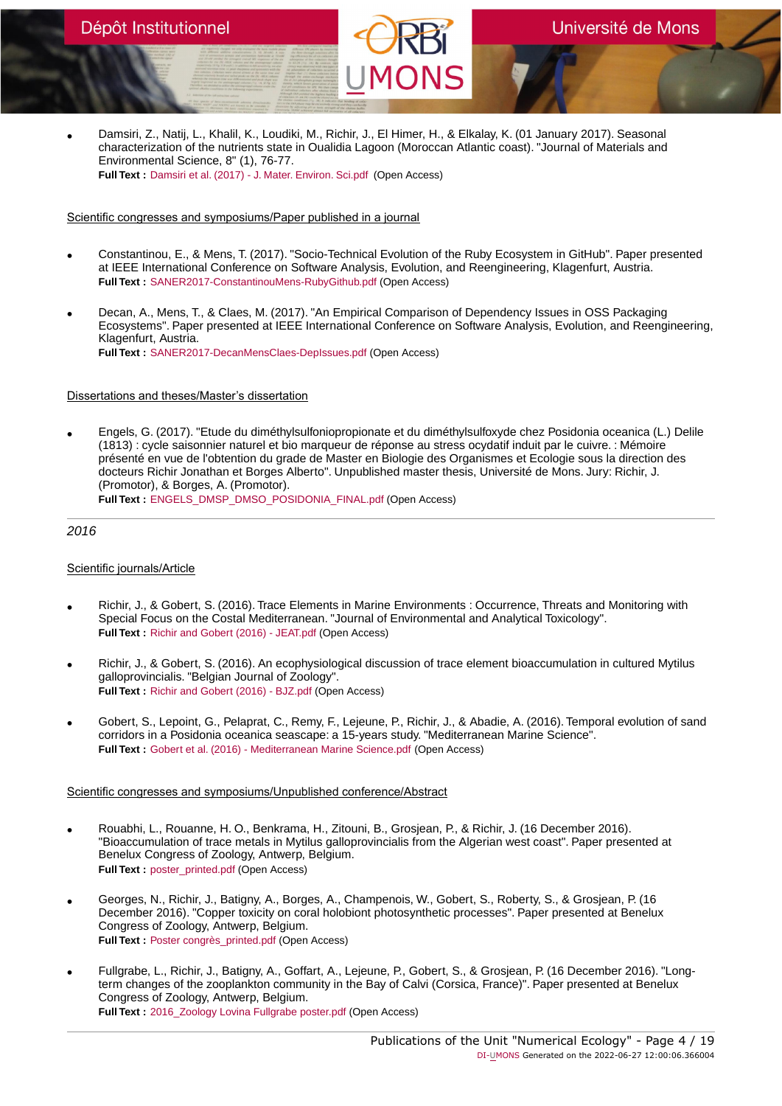• Damsiri, Z., Natij, L., Khalil, K., Loudiki, M., Richir, J., El Himer, H., & Elkalay, K. (01 January 2017). Seasonal characterization of the nutrients state in Oualidia Lagoon (Moroccan Atlantic coast). "Journal of Materials and Environmental Science, 8" (1), 76-77. **Full Text :** [Damsiri et al. \(2017\) - J. Mater. Environ. Sci.pdf](https://orbi.umons.ac.be/bitstream/20.500.12907/38629/1/Damsiri et al. (2017) - J. Mater. Environ. Sci.pdf) (Open Access)

# Scientific congresses and symposiums/Paper published in a journal

- Constantinou, E., & Mens, T. (2017). "Socio-Technical Evolution of the Ruby Ecosystem in GitHub". Paper presented at IEEE International Conference on Software Analysis, Evolution, and Reengineering, Klagenfurt, Austria. **Full Text :** [SANER2017-ConstantinouMens-RubyGithub.pdf](https://orbi.umons.ac.be/bitstream/20.500.12907/12756/1/SANER2017-ConstantinouMens-RubyGithub.pdf) (Open Access)
- Decan, A., Mens, T., & Claes, M. (2017). "An Empirical Comparison of Dependency Issues in OSS Packaging Ecosystems". Paper presented at IEEE International Conference on Software Analysis, Evolution, and Reengineering, Klagenfurt, Austria. **Full Text :** [SANER2017-DecanMensClaes-DepIssues.pdf](https://orbi.umons.ac.be/bitstream/20.500.12907/32067/1/SANER2017-DecanMensClaes-DepIssues.pdf) (Open Access)

# Dissertations and theses/Master's dissertation

• Engels, G. (2017). "Etude du diméthylsulfoniopropionate et du diméthylsulfoxyde chez Posidonia oceanica (L.) Delile (1813) : cycle saisonnier naturel et bio marqueur de réponse au stress ocydatif induit par le cuivre. : Mémoire présenté en vue de l'obtention du grade de Master en Biologie des Organismes et Ecologie sous la direction des docteurs Richir Jonathan et Borges Alberto". Unpublished master thesis, Université de Mons. Jury: Richir, J. (Promotor), & Borges, A. (Promotor).

**Full Text :** [ENGELS\\_DMSP\\_DMSO\\_POSIDONIA\\_FINAL.pdf](https://orbi.umons.ac.be/bitstream/20.500.12907/41169/1/ENGELS_DMSP_DMSO_POSIDONIA_FINAL.pdf) (Open Access)

# 2016

# Scientific journals/Article

- Richir, J., & Gobert, S. (2016). Trace Elements in Marine Environments : Occurrence, Threats and Monitoring with Special Focus on the Costal Mediterranean. "Journal of Environmental and Analytical Toxicology". **Full Text :** [Richir and Gobert \(2016\) - JEAT.pdf](https://orbi.umons.ac.be/bitstream/20.500.12907/31051/1/Richir and Gobert (2016) - JEAT.pdf) (Open Access)
- Richir, J., & Gobert, S. (2016). An ecophysiological discussion of trace element bioaccumulation in cultured Mytilus galloprovincialis. "Belgian Journal of Zoology". **Full Text :** [Richir and Gobert \(2016\) - BJZ.pdf](https://orbi.umons.ac.be/bitstream/20.500.12907/35670/1/Richir and Gobert (2016) - BJZ.pdf) (Open Access)
- Gobert, S., Lepoint, G., Pelaprat, C., Remy, F., Lejeune, P., Richir, J., & Abadie, A. (2016). Temporal evolution of sand corridors in a Posidonia oceanica seascape: a 15-years study. "Mediterranean Marine Science". **Full Text :** [Gobert et al. \(2016\) - Mediterranean Marine Science.pdf](https://orbi.umons.ac.be/bitstream/20.500.12907/38797/1/Gobert et al. (2016) - Mediterranean Marine Science.pdf) (Open Access)

- Rouabhi, L., Rouanne, H. O., Benkrama, H., Zitouni, B., Grosjean, P., & Richir, J. (16 December 2016). "Bioaccumulation of trace metals in Mytilus galloprovincialis from the Algerian west coast". Paper presented at Benelux Congress of Zoology, Antwerp, Belgium. **Full Text :** [poster\\_printed.pdf](https://orbi.umons.ac.be/bitstream/20.500.12907/13488/1/poster_printed.pdf) (Open Access)
- Georges, N., Richir, J., Batigny, A., Borges, A., Champenois, W., Gobert, S., Roberty, S., & Grosjean, P. (16 December 2016). "Copper toxicity on coral holobiont photosynthetic processes". Paper presented at Benelux Congress of Zoology, Antwerp, Belgium. **Full Text :** [Poster congrès\\_printed.pdf](https://orbi.umons.ac.be/bitstream/20.500.12907/26311/1/Poster congr�s_printed.pdf) (Open Access)
- Fullgrabe, L., Richir, J., Batigny, A., Goffart, A., Lejeune, P., Gobert, S., & Grosjean, P. (16 December 2016). "Longterm changes of the zooplankton community in the Bay of Calvi (Corsica, France)". Paper presented at Benelux Congress of Zoology, Antwerp, Belgium. **Full Text :** [2016\\_Zoology Lovina Fullgrabe poster.pdf](https://orbi.umons.ac.be/bitstream/20.500.12907/9280/1/2016_Zoology Lovina Fullgrabe poster.pdf) (Open Access)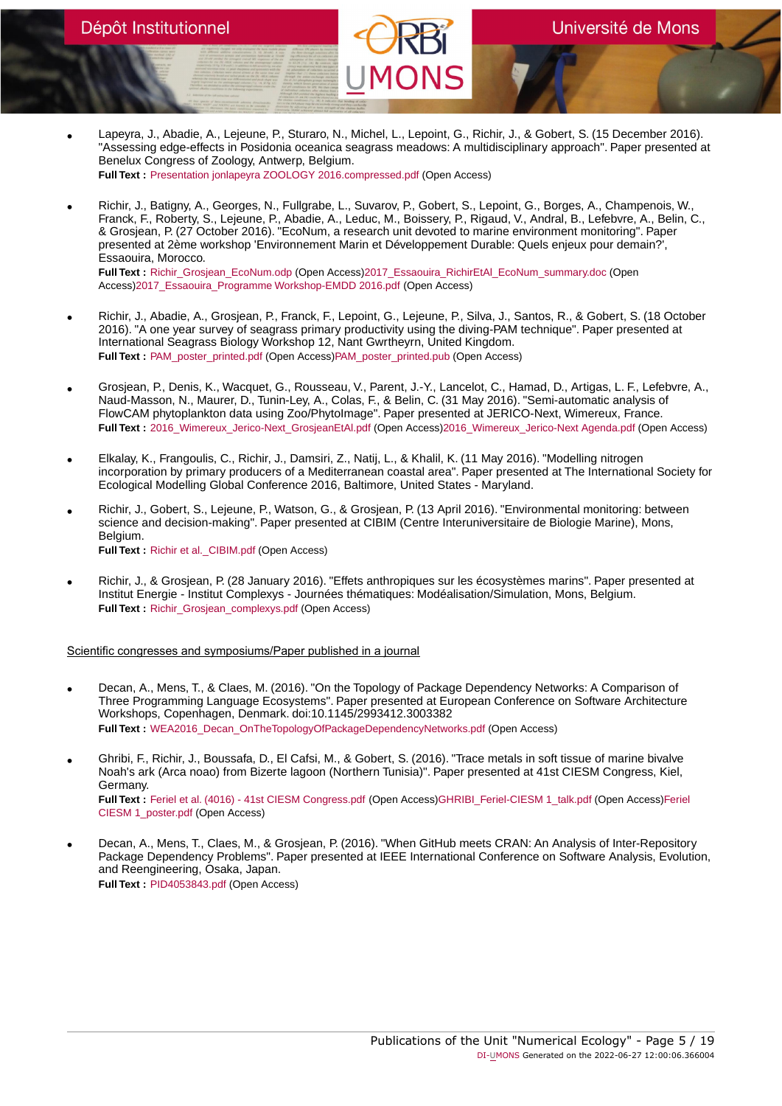- Lapeyra, J., Abadie, A., Lejeune, P., Sturaro, N., Michel, L., Lepoint, G., Richir, J., & Gobert, S. (15 December 2016). "Assessing edge-effects in Posidonia oceanica seagrass meadows: A multidisciplinary approach". Paper presented at Benelux Congress of Zoology, Antwerp, Belgium. **Full Text :** [Presentation jonlapeyra ZOOLOGY 2016.compressed.pdf](https://orbi.umons.ac.be/bitstream/20.500.12907/34199/1/Presentation jonlapeyra ZOOLOGY 2016.compressed.pdf) (Open Access)
- Richir, J., Batigny, A., Georges, N., Fullgrabe, L., Suvarov, P., Gobert, S., Lepoint, G., Borges, A., Champenois, W., Franck, F., Roberty, S., Lejeune, P., Abadie, A., Leduc, M., Boissery, P., Rigaud, V., Andral, B., Lefebvre, A., Belin, C., & Grosjean, P. (27 October 2016). "EcoNum, a research unit devoted to marine environment monitoring". Paper presented at 2ème workshop 'Environnement Marin et Développement Durable: Quels enjeux pour demain?', Essaouira, Morocco. **Full Text :** [Richir\\_Grosjean\\_EcoNum.odp](https://orbi.umons.ac.be/bitstream/20.500.12907/42591/1/Richir_Grosjean_EcoNum.odp) (Open Access)[2017\\_Essaouira\\_RichirEtAl\\_EcoNum\\_summary.doc](https://orbi.umons.ac.be/bitstream/20.500.12907/42591/2/2017_Essaouira_RichirEtAl_EcoNum_summary.doc) (Open

Access[\)2017\\_Essaouira\\_Programme Workshop-EMDD 2016.pdf](https://orbi.umons.ac.be/bitstream/20.500.12907/42591/4/2017_Essaouira_Programme Workshop-EMDD 2016.pdf) (Open Access)

- Richir, J., Abadie, A., Grosjean, P., Franck, F., Lepoint, G., Lejeune, P., Silva, J., Santos, R., & Gobert, S. (18 October 2016). "A one year survey of seagrass primary productivity using the diving-PAM technique". Paper presented at International Seagrass Biology Workshop 12, Nant Gwrtheyrn, United Kingdom. **Full Text :** [PAM\\_poster\\_printed.pdf](https://orbi.umons.ac.be/bitstream/20.500.12907/40388/2/PAM_poster_printed.pdf) (Open Access)[PAM\\_poster\\_printed.pub](https://orbi.umons.ac.be/bitstream/20.500.12907/40388/4/PAM_poster_printed.pub) (Open Access)
- Grosjean, P., Denis, K., Wacquet, G., Rousseau, V., Parent, J.-Y., Lancelot, C., Hamad, D., Artigas, L. F., Lefebvre, A., Naud-Masson, N., Maurer, D., Tunin-Ley, A., Colas, F., & Belin, C. (31 May 2016). "Semi-automatic analysis of FlowCAM phytoplankton data using Zoo/PhytoImage". Paper presented at JERICO-Next, Wimereux, France. **Full Text :** [2016\\_Wimereux\\_Jerico-Next\\_GrosjeanEtAl.pdf](https://orbi.umons.ac.be/bitstream/20.500.12907/36743/2/2016_Wimereux_Jerico-Next_GrosjeanEtAl.pdf) (Open Access[\)2016\\_Wimereux\\_Jerico-Next Agenda.pdf](https://orbi.umons.ac.be/bitstream/20.500.12907/36743/4/2016_Wimereux_Jerico-Next Agenda.pdf) (Open Access)
- Elkalay, K., Frangoulis, C., Richir, J., Damsiri, Z., Natij, L., & Khalil, K. (11 May 2016). "Modelling nitrogen incorporation by primary producers of a Mediterranean coastal area". Paper presented at The International Society for Ecological Modelling Global Conference 2016, Baltimore, United States - Maryland.
- Richir, J., Gobert, S., Lejeune, P., Watson, G., & Grosjean, P. (13 April 2016). "Environmental monitoring: between science and decision-making". Paper presented at CIBIM (Centre Interuniversitaire de Biologie Marine), Mons, Belgium. **Full Text :** [Richir et al.\\_CIBIM.pdf](https://orbi.umons.ac.be/bitstream/20.500.12907/23350/1/Richir et al._CIBIM.pdf) (Open Access)
- Richir, J., & Grosjean, P. (28 January 2016). "Effets anthropiques sur les écosystèmes marins". Paper presented at Institut Energie - Institut Complexys - Journées thématiques: Modéalisation/Simulation, Mons, Belgium. **Full Text :** [Richir\\_Grosjean\\_complexys.pdf](https://orbi.umons.ac.be/bitstream/20.500.12907/40096/1/Richir_Grosjean_complexys.pdf) (Open Access)

# Scientific congresses and symposiums/Paper published in a journal

- Decan, A., Mens, T., & Claes, M. (2016). "On the Topology of Package Dependency Networks: A Comparison of Three Programming Language Ecosystems". Paper presented at European Conference on Software Architecture Workshops, Copenhagen, Denmark. doi:10.1145/2993412.3003382 **Full Text :** [WEA2016\\_Decan\\_OnTheTopologyOfPackageDependencyNetworks.pdf](https://orbi.umons.ac.be/bitstream/20.500.12907/11959/1/WEA2016_Decan_OnTheTopologyOfPackageDependencyNetworks.pdf) (Open Access)
- Ghribi, F., Richir, J., Boussafa, D., El Cafsi, M., & Gobert, S. (2016). "Trace metals in soft tissue of marine bivalve Noah's ark (Arca noao) from Bizerte lagoon (Northern Tunisia)". Paper presented at 41st CIESM Congress, Kiel, Germany. Full Text : [Feriel et al. \(4016\) - 41st CIESM Congress.pdf](https://orbi.umons.ac.be/bitstream/20.500.12907/33203/2/Feriel et al. (4016) - 41st CIESM Congress.pdf) (Open Access)[GHRIBI\\_Feriel-CIESM 1\\_talk.pdf](https://orbi.umons.ac.be/bitstream/20.500.12907/33203/4/GHRIBI_Feriel-CIESM 1_talk.pdf) (Open Access)[Feriel](https://orbi.umons.ac.be/bitstream/20.500.12907/33203/6/Feriel CIESM 1_poster.pdf) [CIESM 1\\_poster.pdf](https://orbi.umons.ac.be/bitstream/20.500.12907/33203/6/Feriel CIESM 1_poster.pdf) (Open Access)
- Decan, A., Mens, T., Claes, M., & Grosjean, P. (2016). "When GitHub meets CRAN: An Analysis of Inter-Repository Package Dependency Problems". Paper presented at IEEE International Conference on Software Analysis, Evolution, and Reengineering, Osaka, Japan. **Full Text :** [PID4053843.pdf](https://orbi.umons.ac.be/bitstream/20.500.12907/9893/1/PID4053843.pdf) (Open Access)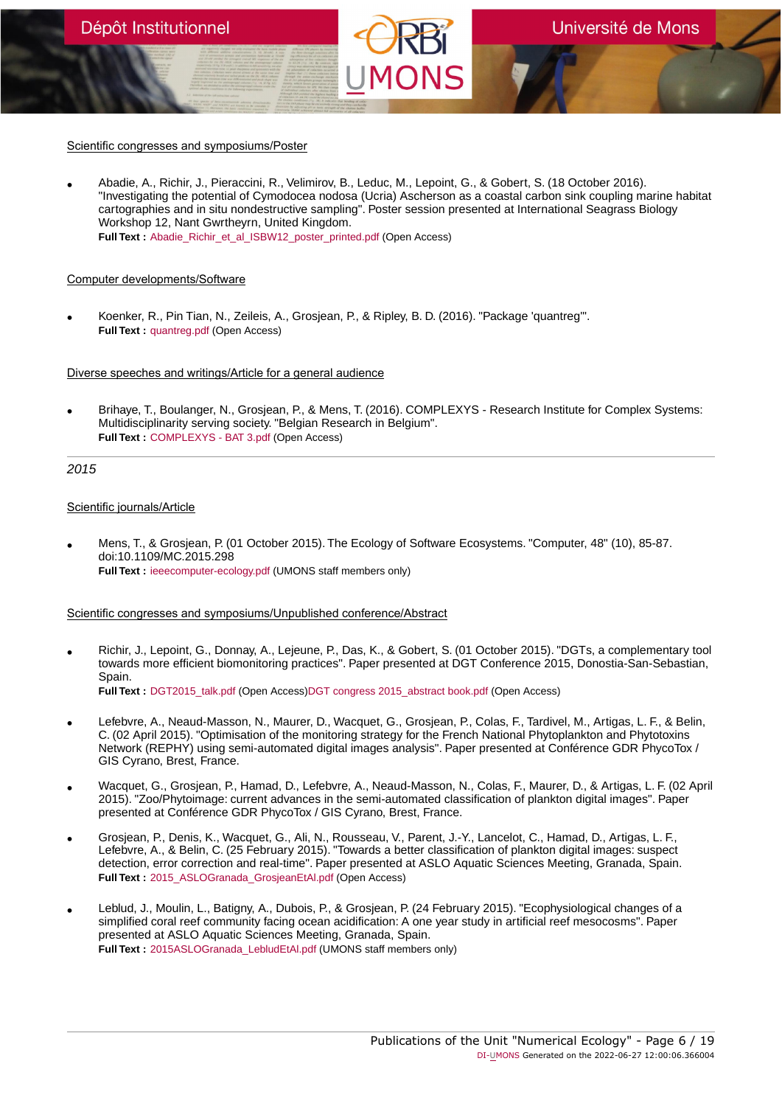Scientific congresses and symposiums/Poster

• Abadie, A., Richir, J., Pieraccini, R., Velimirov, B., Leduc, M., Lepoint, G., & Gobert, S. (18 October 2016). "Investigating the potential of Cymodocea nodosa (Ucria) Ascherson as a coastal carbon sink coupling marine habitat cartographies and in situ nondestructive sampling". Poster session presented at International Seagrass Biology Workshop 12, Nant Gwrtheyrn, United Kingdom. **Full Text** : [Abadie\\_Richir\\_et\\_al\\_ISBW12\\_poster\\_printed.pdf](https://orbi.umons.ac.be/bitstream/20.500.12907/13517/1/Abadie_Richir_et_al_ISBW12_poster_printed.pdf) (Open Access)

#### Computer developments/Software

Dépôt Institutionnel

• Koenker, R., Pin Tian, N., Zeileis, A., Grosjean, P., & Ripley, B. D. (2016). "Package 'quantreg'". **Full Text :** [quantreg.pdf](https://orbi.umons.ac.be/bitstream/20.500.12907/11726/1/quantreg.pdf) (Open Access)

Diverse speeches and writings/Article for a general audience

• Brihaye, T., Boulanger, N., Grosjean, P., & Mens, T. (2016). COMPLEXYS - Research Institute for Complex Systems: Multidisciplinarity serving society. "Belgian Research in Belgium". **Full Text :** [COMPLEXYS - BAT 3.pdf](https://orbi.umons.ac.be/bitstream/20.500.12907/38751/1/COMPLEXYS - BAT 3.pdf) (Open Access)

# 2015

#### Scientific journals/Article

• Mens, T., & Grosjean, P. (01 October 2015). The Ecology of Software Ecosystems. "Computer, 48" (10), 85-87. doi:10.1109/MC.2015.298 **Full Text :** [ieeecomputer-ecology.pdf](https://orbi.umons.ac.be/bitstream/20.500.12907/1842/1/ieeecomputer-ecology.pdf) (UMONS staff members only)

# Scientific congresses and symposiums/Unpublished conference/Abstract

• Richir, J., Lepoint, G., Donnay, A., Lejeune, P., Das, K., & Gobert, S. (01 October 2015). "DGTs, a complementary tool towards more efficient biomonitoring practices". Paper presented at DGT Conference 2015, Donostia-San-Sebastian, Spain. **Full Text :** [DGT2015\\_talk.pdf](https://orbi.umons.ac.be/bitstream/20.500.12907/2883/2/DGT2015_talk.pdf) (Open Access[\)DGT congress 2015\\_abstract book.pdf](https://orbi.umons.ac.be/bitstream/20.500.12907/2883/4/DGT congress 2015_abstract book.pdf) (Open Access)

- Lefebvre, A., Neaud-Masson, N., Maurer, D., Wacquet, G., Grosjean, P., Colas, F., Tardivel, M., Artigas, L. F., & Belin, C. (02 April 2015). "Optimisation of the monitoring strategy for the French National Phytoplankton and Phytotoxins Network (REPHY) using semi-automated digital images analysis". Paper presented at Conférence GDR PhycoTox / GIS Cyrano, Brest, France.
- Wacquet, G., Grosjean, P., Hamad, D., Lefebvre, A., Neaud-Masson, N., Colas, F., Maurer, D., & Artigas, L. F. (02 April 2015). "Zoo/Phytoimage: current advances in the semi-automated classification of plankton digital images". Paper presented at Conférence GDR PhycoTox / GIS Cyrano, Brest, France.
- Grosjean, P., Denis, K., Wacquet, G., Ali, N., Rousseau, V., Parent, J.-Y., Lancelot, C., Hamad, D., Artigas, L. F., Lefebvre, A., & Belin, C. (25 February 2015). "Towards a better classification of plankton digital images: suspect detection, error correction and real-time". Paper presented at ASLO Aquatic Sciences Meeting, Granada, Spain. **Full Text :** [2015\\_ASLOGranada\\_GrosjeanEtAl.pdf](https://orbi.umons.ac.be/bitstream/20.500.12907/4544/1/2015_ASLOGranada_GrosjeanEtAl.pdf) (Open Access)
- Leblud, J., Moulin, L., Batigny, A., Dubois, P., & Grosjean, P. (24 February 2015). "Ecophysiological changes of a simplified coral reef community facing ocean acidification: A one year study in artificial reef mesocosms". Paper presented at ASLO Aquatic Sciences Meeting, Granada, Spain. **Full Text :** [2015ASLOGranada\\_LebludEtAl.pdf](https://orbi.umons.ac.be/bitstream/20.500.12907/36723/1/2015ASLOGranada_LebludEtAl.pdf) (UMONS staff members only)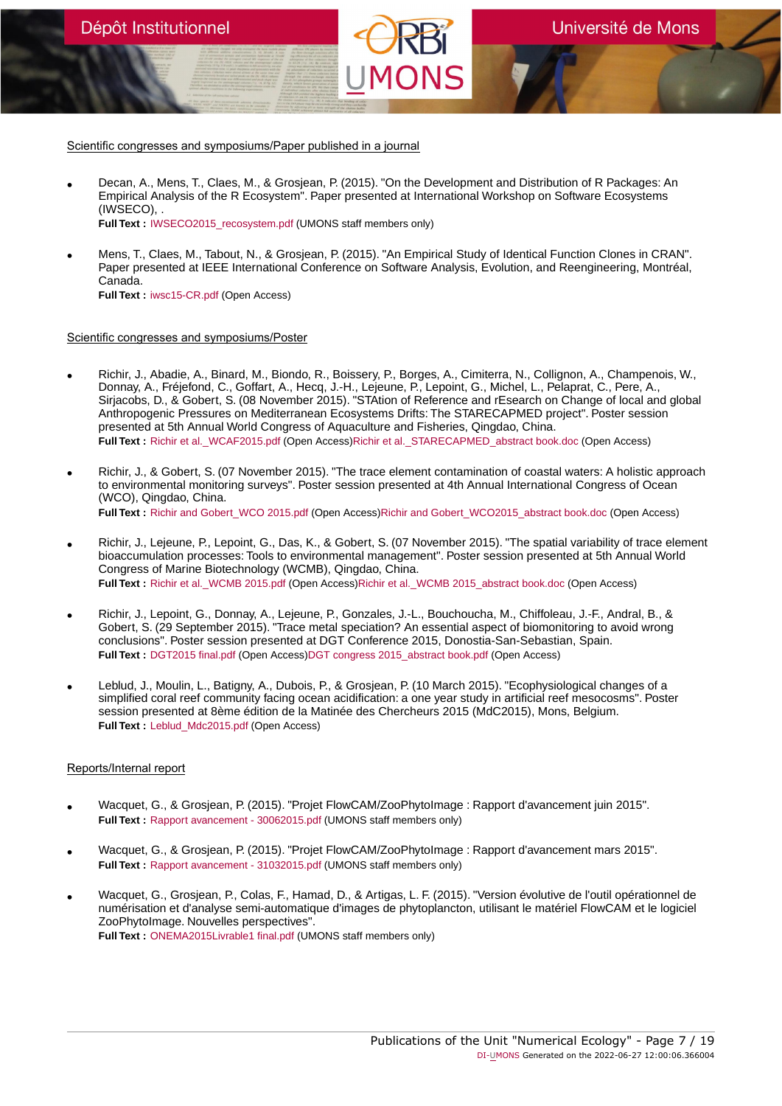- Decan, A., Mens, T., Claes, M., & Grosjean, P. (2015). "On the Development and Distribution of R Packages: An Empirical Analysis of the R Ecosystem". Paper presented at International Workshop on Software Ecosystems (IWSECO), . **Full Text :** [IWSECO2015\\_recosystem.pdf](https://orbi.umons.ac.be/bitstream/20.500.12907/20618/1/IWSECO2015_recosystem.pdf) (UMONS staff members only)
- Mens, T., Claes, M., Tabout, N., & Grosjean, P. (2015). "An Empirical Study of Identical Function Clones in CRAN". Paper presented at IEEE International Conference on Software Analysis, Evolution, and Reengineering, Montréal, Canada. **Full Text :** [iwsc15-CR.pdf](https://orbi.umons.ac.be/bitstream/20.500.12907/7203/1/iwsc15-CR.pdf) (Open Access)

#### Scientific congresses and symposiums/Poster

Dépôt Institutionnel

- Richir, J., Abadie, A., Binard, M., Biondo, R., Boissery, P., Borges, A., Cimiterra, N., Collignon, A., Champenois, W., Donnay, A., Fréjefond, C., Goffart, A., Hecq, J.-H., Lejeune, P., Lepoint, G., Michel, L., Pelaprat, C., Pere, A., Sirjacobs, D., & Gobert, S. (08 November 2015). "STAtion of Reference and rEsearch on Change of local and global Anthropogenic Pressures on Mediterranean Ecosystems Drifts: The STARECAPMED project". Poster session presented at 5th Annual World Congress of Aquaculture and Fisheries, Qingdao, China. **Full Text :** [Richir et al.\\_WCAF2015.pdf](https://orbi.umons.ac.be/bitstream/20.500.12907/14856/2/Richir et al._WCAF2015.pdf) (Open Access)[Richir et al.\\_STARECAPMED\\_abstract book.doc](https://orbi.umons.ac.be/bitstream/20.500.12907/14856/4/Richir et al._STARECAPMED_abstract book.doc) (Open Access)
- Richir, J., & Gobert, S. (07 November 2015). "The trace element contamination of coastal waters: A holistic approach to environmental monitoring surveys". Poster session presented at 4th Annual International Congress of Ocean (WCO), Qingdao, China. Full Text : [Richir and Gobert\\_WCO 2015.pdf](https://orbi.umons.ac.be/bitstream/20.500.12907/23448/2/Richir and Gobert_WCO 2015.pdf) (Open Access)[Richir and Gobert\\_WCO2015\\_abstract book.doc](https://orbi.umons.ac.be/bitstream/20.500.12907/23448/4/Richir and Gobert_WCO2015_abstract book.doc) (Open Access)
- Richir, J., Lejeune, P., Lepoint, G., Das, K., & Gobert, S. (07 November 2015). "The spatial variability of trace element bioaccumulation processes: Tools to environmental management". Poster session presented at 5th Annual World Congress of Marine Biotechnology (WCMB), Qingdao, China. Full Text : Richir et al. WCMB 2015.pdf (Open Access)Richir et al. WCMB 2015\_abstract book.doc (Open Access)
- Richir, J., Lepoint, G., Donnay, A., Lejeune, P., Gonzales, J.-L., Bouchoucha, M., Chiffoleau, J.-F., Andral, B., & Gobert, S. (29 September 2015). "Trace metal speciation? An essential aspect of biomonitoring to avoid wrong conclusions". Poster session presented at DGT Conference 2015, Donostia-San-Sebastian, Spain. **Full Text :** [DGT2015 final.pdf](https://orbi.umons.ac.be/bitstream/20.500.12907/8843/2/DGT2015 final.pdf) (Open Access[\)DGT congress 2015\\_abstract book.pdf](https://orbi.umons.ac.be/bitstream/20.500.12907/8843/4/DGT congress 2015_abstract book.pdf) (Open Access)
- Leblud, J., Moulin, L., Batigny, A., Dubois, P., & Grosjean, P. (10 March 2015). "Ecophysiological changes of a simplified coral reef community facing ocean acidification: a one year study in artificial reef mesocosms". Poster session presented at 8ème édition de la Matinée des Chercheurs 2015 (MdC2015), Mons, Belgium. **Full Text :** [Leblud\\_Mdc2015.pdf](https://orbi.umons.ac.be/bitstream/20.500.12907/26978/1/Leblud_Mdc2015.pdf) (Open Access)

# Reports/Internal report

- Wacquet, G., & Grosjean, P. (2015). "Projet FlowCAM/ZooPhytoImage : Rapport d'avancement juin 2015". **Full Text :** [Rapport avancement - 30062015.pdf](https://orbi.umons.ac.be/bitstream/20.500.12907/6720/1/Rapport avancement - 30062015.pdf) (UMONS staff members only)
- Wacquet, G., & Grosjean, P. (2015). "Projet FlowCAM/ZooPhytoImage : Rapport d'avancement mars 2015". **Full Text :** [Rapport avancement - 31032015.pdf](https://orbi.umons.ac.be/bitstream/20.500.12907/32854/1/Rapport avancement - 31032015.pdf) (UMONS staff members only)
- Wacquet, G., Grosjean, P., Colas, F., Hamad, D., & Artigas, L. F. (2015). "Version évolutive de l'outil opérationnel de numérisation et d'analyse semi-automatique d'images de phytoplancton, utilisant le matériel FlowCAM et le logiciel ZooPhytoImage. Nouvelles perspectives". **Full Text :** [ONEMA2015Livrable1 final.pdf](https://orbi.umons.ac.be/bitstream/20.500.12907/25276/1/ONEMA2015Livrable1 final.pdf) (UMONS staff members only)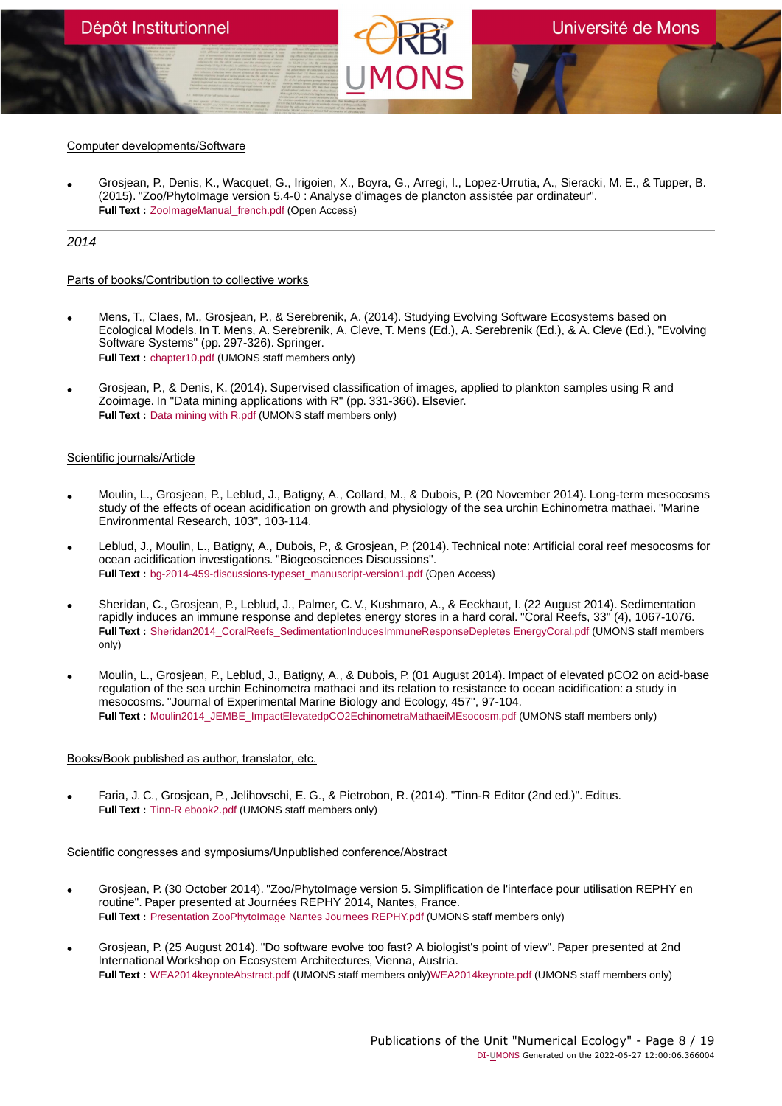# Computer developments/Software

• Grosjean, P., Denis, K., Wacquet, G., Irigoien, X., Boyra, G., Arregi, I., Lopez-Urrutia, A., Sieracki, M. E., & Tupper, B. (2015). "Zoo/PhytoImage version 5.4-0 : Analyse d'images de plancton assistée par ordinateur". **Full Text : ZoolmageManual french.pdf (Open Access)** 

# 2014

#### Parts of books/Contribution to collective works

- Mens, T., Claes, M., Grosjean, P., & Serebrenik, A. (2014). Studying Evolving Software Ecosystems based on Ecological Models. In T. Mens, A. Serebrenik, A. Cleve, T. Mens (Ed.), A. Serebrenik (Ed.), & A. Cleve (Ed.), "Evolving Software Systems" (pp. 297-326). Springer. **Full Text :** [chapter10.pdf](https://orbi.umons.ac.be/bitstream/20.500.12907/15542/1/chapter10.pdf) (UMONS staff members only)
- Grosjean, P., & Denis, K. (2014). Supervised classification of images, applied to plankton samples using R and Zooimage. In "Data mining applications with R" (pp. 331-366). Elsevier. **Full Text :** [Data mining with R.pdf](https://orbi.umons.ac.be/bitstream/20.500.12907/886/1/Data mining with R.pdf) (UMONS staff members only)

# Scientific journals/Article

- Moulin, L., Grosjean, P., Leblud, J., Batigny, A., Collard, M., & Dubois, P. (20 November 2014). Long-term mesocosms study of the effects of ocean acidification on growth and physiology of the sea urchin Echinometra mathaei. "Marine Environmental Research, 103", 103-114.
- Leblud, J., Moulin, L., Batigny, A., Dubois, P., & Grosjean, P. (2014). Technical note: Artificial coral reef mesocosms for ocean acidification investigations. "Biogeosciences Discussions". **Full Text :** [bg-2014-459-discussions-typeset\\_manuscript-version1.pdf](https://orbi.umons.ac.be/bitstream/20.500.12907/9818/1/bg-2014-459-discussions-typeset_manuscript-version1.pdf) (Open Access)
- Sheridan, C., Grosjean, P., Leblud, J., Palmer, C. V., Kushmaro, A., & Eeckhaut, I. (22 August 2014). Sedimentation rapidly induces an immune response and depletes energy stores in a hard coral. "Coral Reefs, 33" (4), 1067-1076. **Full Text :** Sheridan2014 CoralReefs SedimentationInducesImmuneResponseDepletes EnergyCoral.pdf (UMONS staff members only)
- Moulin, L., Grosjean, P., Leblud, J., Batigny, A., & Dubois, P. (01 August 2014). Impact of elevated pCO2 on acid-base regulation of the sea urchin Echinometra mathaei and its relation to resistance to ocean acidification: a study in mesocosms. "Journal of Experimental Marine Biology and Ecology, 457", 97-104. **Full Text :** [Moulin2014\\_JEMBE\\_ImpactElevatedpCO2EchinometraMathaeiMEsocosm.pdf](https://orbi.umons.ac.be/bitstream/20.500.12907/9487/1/Moulin2014_JEMBE_ImpactElevatedpCO2EchinometraMathaeiMEsocosm.pdf) (UMONS staff members only)

# Books/Book published as author, translator, etc.

• Faria, J. C., Grosjean, P., Jelihovschi, E. G., & Pietrobon, R. (2014). "Tinn-R Editor (2nd ed.)". Editus. **Full Text :** [Tinn-R ebook2.pdf](https://orbi.umons.ac.be/bitstream/20.500.12907/4927/1/Tinn-R ebook2.pdf) (UMONS staff members only)

- Grosjean, P. (30 October 2014). "Zoo/PhytoImage version 5. Simplification de l'interface pour utilisation REPHY en routine". Paper presented at Journées REPHY 2014, Nantes, France. **Full Text :** [Presentation ZooPhytoImage Nantes Journees REPHY.pdf](https://orbi.umons.ac.be/bitstream/20.500.12907/31840/1/Presentation ZooPhytoImage Nantes Journees REPHY.pdf) (UMONS staff members only)
- Grosjean, P. (25 August 2014). "Do software evolve too fast? A biologist's point of view". Paper presented at 2nd International Workshop on Ecosystem Architectures, Vienna, Austria. **Full Text :** [WEA2014keynoteAbstract.pdf](https://orbi.umons.ac.be/bitstream/20.500.12907/26627/2/WEA2014keynoteAbstract.pdf) (UMONS staff members only)[WEA2014keynote.pdf](https://orbi.umons.ac.be/bitstream/20.500.12907/26627/3/WEA2014keynote.pdf) (UMONS staff members only)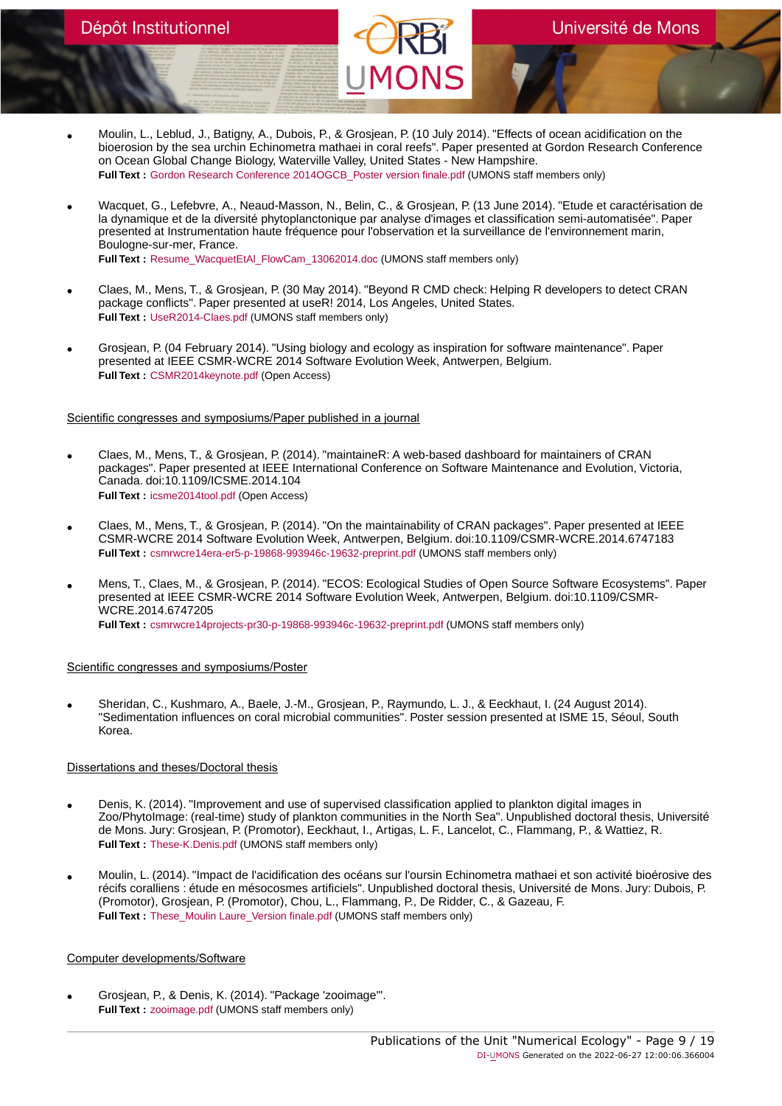- Moulin, L., Leblud, J., Batigny, A., Dubois, P., & Grosjean, P. (10 July 2014). "Effects of ocean acidification on the bioerosion by the sea urchin Echinometra mathaei in coral reefs". Paper presented at Gordon Research Conference on Ocean Global Change Biology, Waterville Valley, United States - New Hampshire. **Full Text :** [Gordon Research Conference 2014OGCB\\_Poster version finale.pdf](https://orbi.umons.ac.be/bitstream/20.500.12907/25233/1/Gordon Research Conference 2014OGCB_Poster version finale.pdf) (UMONS staff members only)
- Wacquet, G., Lefebvre, A., Neaud-Masson, N., Belin, C., & Grosjean, P. (13 June 2014). "Etude et caractérisation de la dynamique et de la diversité phytoplanctonique par analyse d'images et classification semi-automatisée". Paper presented at Instrumentation haute fréquence pour l'observation et la surveillance de l'environnement marin, Boulogne-sur-mer, France. **Full Text :** [Resume\\_WacquetEtAl\\_FlowCam\\_13062014.doc](https://orbi.umons.ac.be/bitstream/20.500.12907/241/1/Resume_WacquetEtAl_FlowCam_13062014.doc) (UMONS staff members only)
- Claes, M., Mens, T., & Grosjean, P. (30 May 2014). "Beyond R CMD check: Helping R developers to detect CRAN package conflicts". Paper presented at useR! 2014, Los Angeles, United States. **Full Text :** [UseR2014-Claes.pdf](https://orbi.umons.ac.be/bitstream/20.500.12907/5012/1/UseR2014-Claes.pdf) (UMONS staff members only)
- Grosjean, P. (04 February 2014). "Using biology and ecology as inspiration for software maintenance". Paper presented at IEEE CSMR-WCRE 2014 Software Evolution Week, Antwerpen, Belgium. **Full Text :** [CSMR2014keynote.pdf](https://orbi.umons.ac.be/bitstream/20.500.12907/36007/1/CSMR2014keynote.pdf) (Open Access)

- Claes, M., Mens, T., & Grosjean, P. (2014). "maintaineR: A web-based dashboard for maintainers of CRAN packages". Paper presented at IEEE International Conference on Software Maintenance and Evolution, Victoria, Canada. doi:10.1109/ICSME.2014.104 **Full Text :** [icsme2014tool.pdf](https://orbi.umons.ac.be/bitstream/20.500.12907/8936/1/icsme2014tool.pdf) (Open Access)
- Claes, M., Mens, T., & Grosjean, P. (2014). "On the maintainability of CRAN packages". Paper presented at IEEE CSMR-WCRE 2014 Software Evolution Week, Antwerpen, Belgium. doi:10.1109/CSMR-WCRE.2014.6747183 **Full Text :** [csmrwcre14era-er5-p-19868-993946c-19632-preprint.pdf](https://orbi.umons.ac.be/bitstream/20.500.12907/21124/1/csmrwcre14era-er5-p-19868-993946c-19632-preprint.pdf) (UMONS staff members only)
- Mens, T., Claes, M., & Grosjean, P. (2014). "ECOS: Ecological Studies of Open Source Software Ecosystems". Paper presented at IEEE CSMR-WCRE 2014 Software Evolution Week, Antwerpen, Belgium. doi:10.1109/CSMR-WCRE.2014.6747205 **Full Text :** [csmrwcre14projects-pr30-p-19868-993946c-19632-preprint.pdf](https://orbi.umons.ac.be/bitstream/20.500.12907/13619/1/csmrwcre14projects-pr30-p-19868-993946c-19632-preprint.pdf) (UMONS staff members only)

# Scientific congresses and symposiums/Poster

• Sheridan, C., Kushmaro, A., Baele, J.-M., Grosjean, P., Raymundo, L. J., & Eeckhaut, I. (24 August 2014). "Sedimentation influences on coral microbial communities". Poster session presented at ISME 15, Séoul, South Korea.

# Dissertations and theses/Doctoral thesis

- Denis, K. (2014). "Improvement and use of supervised classification applied to plankton digital images in Zoo/PhytoImage: (real-time) study of plankton communities in the North Sea". Unpublished doctoral thesis, Université de Mons. Jury: Grosjean, P. (Promotor), Eeckhaut, I., Artigas, L. F., Lancelot, C., Flammang, P., & Wattiez, R. **Full Text :** [These-K.Denis.pdf](https://orbi.umons.ac.be/bitstream/20.500.12907/16128/1/These-K.Denis.pdf) (UMONS staff members only)
- Moulin, L. (2014). "Impact de l'acidification des océans sur l'oursin Echinometra mathaei et son activité bioérosive des récifs coralliens : étude en mésocosmes artificiels". Unpublished doctoral thesis, Université de Mons. Jury: Dubois, P. (Promotor), Grosjean, P. (Promotor), Chou, L., Flammang, P., De Ridder, C., & Gazeau, F. **Full Text :** These Moulin Laure Version finale.pdf (UMONS staff members only)

# Computer developments/Software

• Grosjean, P., & Denis, K. (2014). "Package 'zooimage'". **Full Text :** [zooimage.pdf](https://orbi.umons.ac.be/bitstream/20.500.12907/21410/1/zooimage.pdf) (UMONS staff members only)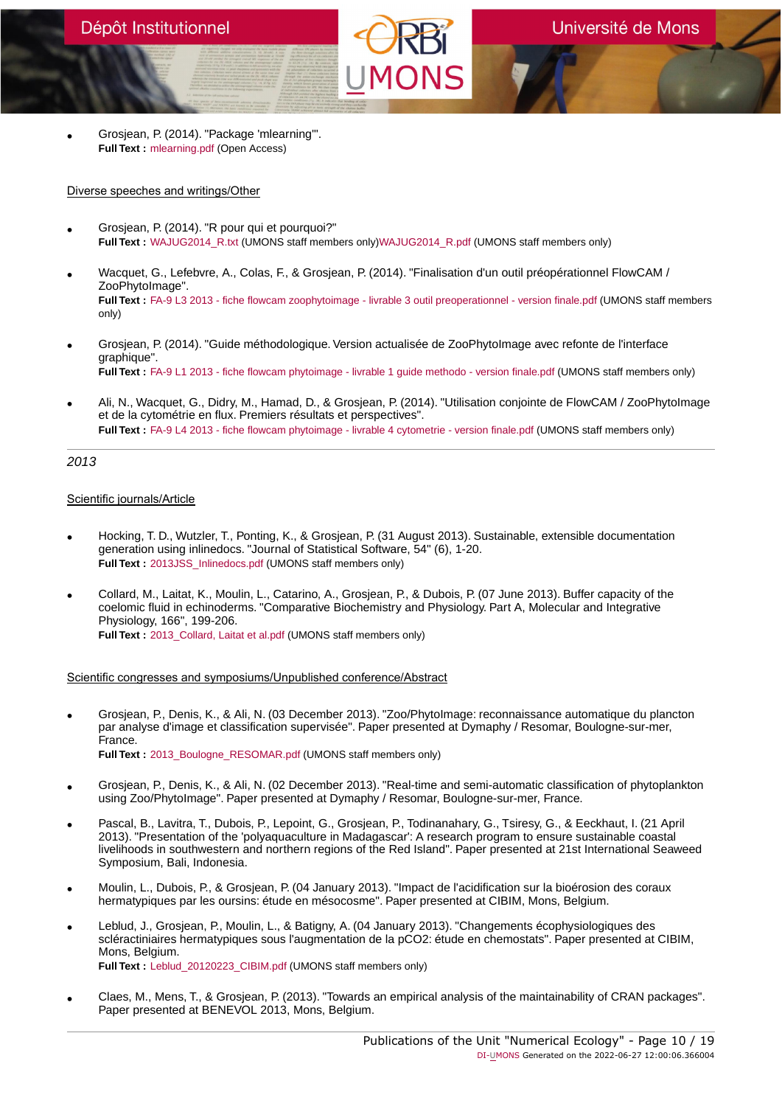• Grosjean, P. (2014). "Package 'mlearning'". **Full Text :** [mlearning.pdf](https://orbi.umons.ac.be/bitstream/20.500.12907/17611/1/mlearning.pdf) (Open Access)

# Diverse speeches and writings/Other

- Grosjean, P. (2014). "R pour qui et pourquoi?" Full Text : WAJUG2014 R.txt (UMONS staff members only)WAJUG2014 R.pdf (UMONS staff members only)
- Wacquet, G., Lefebvre, A., Colas, F., & Grosjean, P. (2014). "Finalisation d'un outil préopérationnel FlowCAM / ZooPhytoImage". **Full Text :** [FA-9 L3 2013 - fiche flowcam zoophytoimage - livrable 3 outil preoperationnel - version finale.pdf](https://orbi.umons.ac.be/bitstream/20.500.12907/27351/1/FA-9 L3 2013 - fiche flowcam zoophytoimage - livrable 3 outil preoperationnel - version finale.pdf) (UMONS staff members only)
- Grosjean, P. (2014). "Guide méthodologique. Version actualisée de ZooPhytoImage avec refonte de l'interface graphique". **Full Text :** [FA-9 L1 2013 - fiche flowcam phytoimage - livrable 1 guide methodo - version finale.pdf](https://orbi.umons.ac.be/bitstream/20.500.12907/37224/1/FA-9 L1 2013 - fiche flowcam phytoimage - livrable 1 guide methodo - version finale.pdf) (UMONS staff members only)
- Ali, N., Wacquet, G., Didry, M., Hamad, D., & Grosjean, P. (2014). "Utilisation conjointe de FlowCAM / ZooPhytoImage et de la cytométrie en flux. Premiers résultats et perspectives". **Full Text :** [FA-9 L4 2013 - fiche flowcam phytoimage - livrable 4 cytometrie - version finale.pdf](https://orbi.umons.ac.be/bitstream/20.500.12907/38701/1/FA-9 L4 2013 - fiche flowcam phytoimage - livrable 4 cytometrie - version finale.pdf) (UMONS staff members only)

# 2013

# Scientific journals/Article

- Hocking, T. D., Wutzler, T., Ponting, K., & Grosjean, P. (31 August 2013). Sustainable, extensible documentation generation using inlinedocs. "Journal of Statistical Software, 54" (6), 1-20. **Full Text :** [2013JSS\\_Inlinedocs.pdf](https://orbi.umons.ac.be/bitstream/20.500.12907/307/1/2013JSS_Inlinedocs.pdf) (UMONS staff members only)
- Collard, M., Laitat, K., Moulin, L., Catarino, A., Grosjean, P., & Dubois, P. (07 June 2013). Buffer capacity of the coelomic fluid in echinoderms. "Comparative Biochemistry and Physiology. Part A, Molecular and Integrative Physiology, 166", 199-206. **Full Text :** 2013 Collard, Laitat et al.pdf (UMONS staff members only)

- Grosjean, P., Denis, K., & Ali, N. (03 December 2013). "Zoo/PhytoImage: reconnaissance automatique du plancton par analyse d'image et classification supervisée". Paper presented at Dymaphy / Resomar, Boulogne-sur-mer, France. **Full Text :** [2013\\_Boulogne\\_RESOMAR.pdf](https://orbi.umons.ac.be/bitstream/20.500.12907/36884/1/2013_Boulogne_RESOMAR.pdf) (UMONS staff members only)
- Grosjean, P., Denis, K., & Ali, N. (02 December 2013). "Real-time and semi-automatic classification of phytoplankton using Zoo/PhytoImage". Paper presented at Dymaphy / Resomar, Boulogne-sur-mer, France.
- Pascal, B., Lavitra, T., Dubois, P., Lepoint, G., Grosjean, P., Todinanahary, G., Tsiresy, G., & Eeckhaut, I. (21 April 2013). "Presentation of the 'polyaquaculture in Madagascar': A research program to ensure sustainable coastal livelihoods in southwestern and northern regions of the Red Island". Paper presented at 21st International Seaweed Symposium, Bali, Indonesia.
- Moulin, L., Dubois, P., & Grosjean, P. (04 January 2013). "Impact de l'acidification sur la bioérosion des coraux hermatypiques par les oursins: étude en mésocosme". Paper presented at CIBIM, Mons, Belgium.
- Leblud, J., Grosjean, P., Moulin, L., & Batigny, A. (04 January 2013). "Changements écophysiologiques des scléractiniaires hermatypiques sous l'augmentation de la pCO2: étude en chemostats". Paper presented at CIBIM, Mons, Belgium. **Full Text :** [Leblud\\_20120223\\_CIBIM.pdf](https://orbi.umons.ac.be/bitstream/20.500.12907/28019/1/Leblud_20120223_CIBIM.pdf) (UMONS staff members only)
- Claes, M., Mens, T., & Grosjean, P. (2013). "Towards an empirical analysis of the maintainability of CRAN packages". Paper presented at BENEVOL 2013, Mons, Belgium.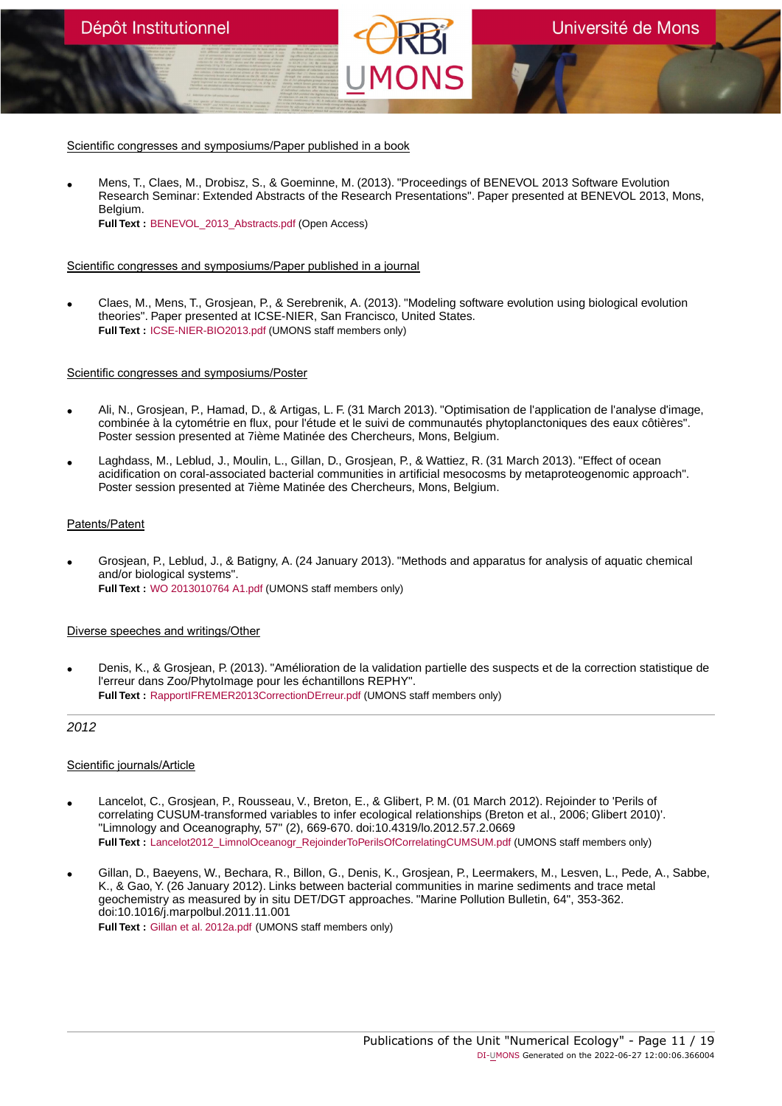• Mens, T., Claes, M., Drobisz, S., & Goeminne, M. (2013). "Proceedings of BENEVOL 2013 Software Evolution Research Seminar: Extended Abstracts of the Research Presentations". Paper presented at BENEVOL 2013, Mons, Belgium. **Full Text :** [BENEVOL\\_2013\\_Abstracts.pdf](https://orbi.umons.ac.be/bitstream/20.500.12907/32866/1/BENEVOL_2013_Abstracts.pdf) (Open Access)

# Scientific congresses and symposiums/Paper published in a journal

• Claes, M., Mens, T., Grosjean, P., & Serebrenik, A. (2013). "Modeling software evolution using biological evolution theories". Paper presented at ICSE-NIER, San Francisco, United States. **Full Text :** [ICSE-NIER-BIO2013.pdf](https://orbi.umons.ac.be/bitstream/20.500.12907/31782/1/ICSE-NIER-BIO2013.pdf) (UMONS staff members only)

# Scientific congresses and symposiums/Poster

- Ali, N., Grosjean, P., Hamad, D., & Artigas, L. F. (31 March 2013). "Optimisation de l'application de l'analyse d'image, combinée à la cytométrie en flux, pour l'étude et le suivi de communautés phytoplanctoniques des eaux côtières". Poster session presented at 7ième Matinée des Chercheurs, Mons, Belgium.
- Laghdass, M., Leblud, J., Moulin, L., Gillan, D., Grosjean, P., & Wattiez, R. (31 March 2013). "Effect of ocean acidification on coral-associated bacterial communities in artificial mesocosms by metaproteogenomic approach". Poster session presented at 7ième Matinée des Chercheurs, Mons, Belgium.

# Patents/Patent

• Grosjean, P., Leblud, J., & Batigny, A. (24 January 2013). "Methods and apparatus for analysis of aquatic chemical and/or biological systems". **Full Text :** [WO 2013010764 A1.pdf](https://orbi.umons.ac.be/bitstream/20.500.12907/30333/1/WO 2013010764 A1.pdf) (UMONS staff members only)

# Diverse speeches and writings/Other

• Denis, K., & Grosjean, P. (2013). "Amélioration de la validation partielle des suspects et de la correction statistique de l'erreur dans Zoo/PhytoImage pour les échantillons REPHY". **Full Text :** [RapportIFREMER2013CorrectionDErreur.pdf](https://orbi.umons.ac.be/bitstream/20.500.12907/556/1/RapportIFREMER2013CorrectionDErreur.pdf) (UMONS staff members only)

# 2012

- Lancelot, C., Grosjean, P., Rousseau, V., Breton, E., & Glibert, P. M. (01 March 2012). Rejoinder to 'Perils of correlating CUSUM-transformed variables to infer ecological relationships (Breton et al., 2006; Glibert 2010)'. "Limnology and Oceanography, 57" (2), 669-670. doi:10.4319/lo.2012.57.2.0669 Full Text : [Lancelot2012\\_LimnolOceanogr\\_RejoinderToPerilsOfCorrelatingCUMSUM.pdf](https://orbi.umons.ac.be/bitstream/20.500.12907/16443/1/Lancelot2012_LimnolOceanogr_RejoinderToPerilsOfCorrelatingCUMSUM.pdf) (UMONS staff members only)
- Gillan, D., Baeyens, W., Bechara, R., Billon, G., Denis, K., Grosjean, P., Leermakers, M., Lesven, L., Pede, A., Sabbe, K., & Gao, Y. (26 January 2012). Links between bacterial communities in marine sediments and trace metal geochemistry as measured by in situ DET/DGT approaches. "Marine Pollution Bulletin, 64", 353-362. doi:10.1016/j.marpolbul.2011.11.001 **Full Text :** [Gillan et al. 2012a.pdf](https://orbi.umons.ac.be/bitstream/20.500.12907/34194/1/Gillan et al. 2012a.pdf) (UMONS staff members only)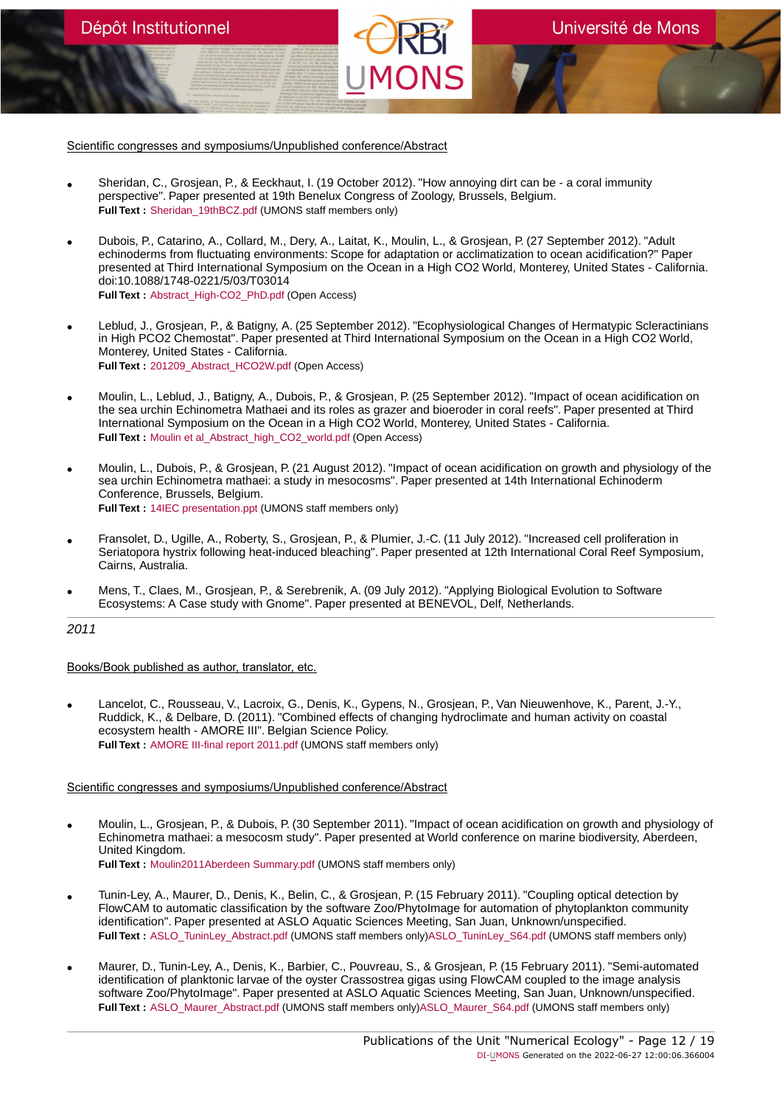Scientific congresses and symposiums/Unpublished conference/Abstract

Dépôt Institutionnel

- Sheridan, C., Grosjean, P., & Eeckhaut, I. (19 October 2012). "How annoying dirt can be a coral immunity perspective". Paper presented at 19th Benelux Congress of Zoology, Brussels, Belgium. **Full Text :** [Sheridan\\_19thBCZ.pdf](https://orbi.umons.ac.be/bitstream/20.500.12907/31373/1/Sheridan_19thBCZ.pdf) (UMONS staff members only)
- Dubois, P., Catarino, A., Collard, M., Dery, A., Laitat, K., Moulin, L., & Grosjean, P. (27 September 2012). "Adult echinoderms from fluctuating environments: Scope for adaptation or acclimatization to ocean acidification?" Paper presented at Third International Symposium on the Ocean in a High CO2 World, Monterey, United States - California. doi:10.1088/1748-0221/5/03/T03014 **Full Text :** [Abstract\\_High-CO2\\_PhD.pdf](https://orbi.umons.ac.be/bitstream/20.500.12907/9718/1/Abstract_High-CO2_PhD.pdf) (Open Access)
- Leblud, J., Grosjean, P., & Batigny, A. (25 September 2012). "Ecophysiological Changes of Hermatypic Scleractinians in High PCO2 Chemostat". Paper presented at Third International Symposium on the Ocean in a High CO2 World, Monterey, United States - California. **Full Text :** [201209\\_Abstract\\_HCO2W.pdf](https://orbi.umons.ac.be/bitstream/20.500.12907/28945/1/201209_Abstract_HCO2W.pdf) (Open Access)
- Moulin, L., Leblud, J., Batigny, A., Dubois, P., & Grosjean, P. (25 September 2012). "Impact of ocean acidification on the sea urchin Echinometra Mathaei and its roles as grazer and bioeroder in coral reefs". Paper presented at Third International Symposium on the Ocean in a High CO2 World, Monterey, United States - California. **Full Text :** [Moulin et al\\_Abstract\\_high\\_CO2\\_world.pdf](https://orbi.umons.ac.be/bitstream/20.500.12907/33834/1/Moulin et al_Abstract_high_CO2_world.pdf) (Open Access)
- Moulin, L., Dubois, P., & Grosjean, P. (21 August 2012). "Impact of ocean acidification on growth and physiology of the sea urchin Echinometra mathaei: a study in mesocosms". Paper presented at 14th International Echinoderm Conference, Brussels, Belgium. **Full Text :** [14IEC presentation.ppt](https://orbi.umons.ac.be/bitstream/20.500.12907/29571/1/14IEC presentation.ppt) (UMONS staff members only)
- Fransolet, D., Ugille, A., Roberty, S., Grosjean, P., & Plumier, J.-C. (11 July 2012). "Increased cell proliferation in Seriatopora hystrix following heat-induced bleaching". Paper presented at 12th International Coral Reef Symposium, Cairns, Australia.
- Mens, T., Claes, M., Grosjean, P., & Serebrenik, A. (09 July 2012). "Applying Biological Evolution to Software Ecosystems: A Case study with Gnome". Paper presented at BENEVOL, Delf, Netherlands.

2011

# Books/Book published as author, translator, etc.

• Lancelot, C., Rousseau, V., Lacroix, G., Denis, K., Gypens, N., Grosjean, P., Van Nieuwenhove, K., Parent, J.-Y., Ruddick, K., & Delbare, D. (2011). "Combined effects of changing hydroclimate and human activity on coastal ecosystem health - AMORE III". Belgian Science Policy. **Full Text :** [AMORE III-final report 2011.pdf](https://orbi.umons.ac.be/bitstream/20.500.12907/686/1/AMORE III-final report 2011.pdf) (UMONS staff members only)

- Moulin, L., Grosjean, P., & Dubois, P. (30 September 2011). "Impact of ocean acidification on growth and physiology of Echinometra mathaei: a mesocosm study". Paper presented at World conference on marine biodiversity, Aberdeen, United Kingdom. **Full Text :** [Moulin2011Aberdeen Summary.pdf](https://orbi.umons.ac.be/bitstream/20.500.12907/5887/1/Moulin2011Aberdeen Summary.pdf) (UMONS staff members only)
- Tunin-Ley, A., Maurer, D., Denis, K., Belin, C., & Grosjean, P. (15 February 2011). "Coupling optical detection by FlowCAM to automatic classification by the software Zoo/PhytoImage for automation of phytoplankton community identification". Paper presented at ASLO Aquatic Sciences Meeting, San Juan, Unknown/unspecified. **Full Text :** [ASLO\\_TuninLey\\_Abstract.pdf](https://orbi.umons.ac.be/bitstream/20.500.12907/34987/2/ASLO_TuninLey_Abstract.pdf) (UMONS staff members only[\)ASLO\\_TuninLey\\_S64.pdf](https://orbi.umons.ac.be/bitstream/20.500.12907/34987/3/ASLO_TuninLey_S64.pdf) (UMONS staff members only)
- Maurer, D., Tunin-Ley, A., Denis, K., Barbier, C., Pouvreau, S., & Grosjean, P. (15 February 2011). "Semi-automated identification of planktonic larvae of the oyster Crassostrea gigas using FlowCAM coupled to the image analysis software Zoo/PhytoImage". Paper presented at ASLO Aquatic Sciences Meeting, San Juan, Unknown/unspecified. **Full Text :** [ASLO\\_Maurer\\_Abstract.pdf](https://orbi.umons.ac.be/bitstream/20.500.12907/19271/2/ASLO_Maurer_Abstract.pdf) (UMONS staff members only)[ASLO\\_Maurer\\_S64.pdf](https://orbi.umons.ac.be/bitstream/20.500.12907/19271/3/ASLO_Maurer_S64.pdf) (UMONS staff members only)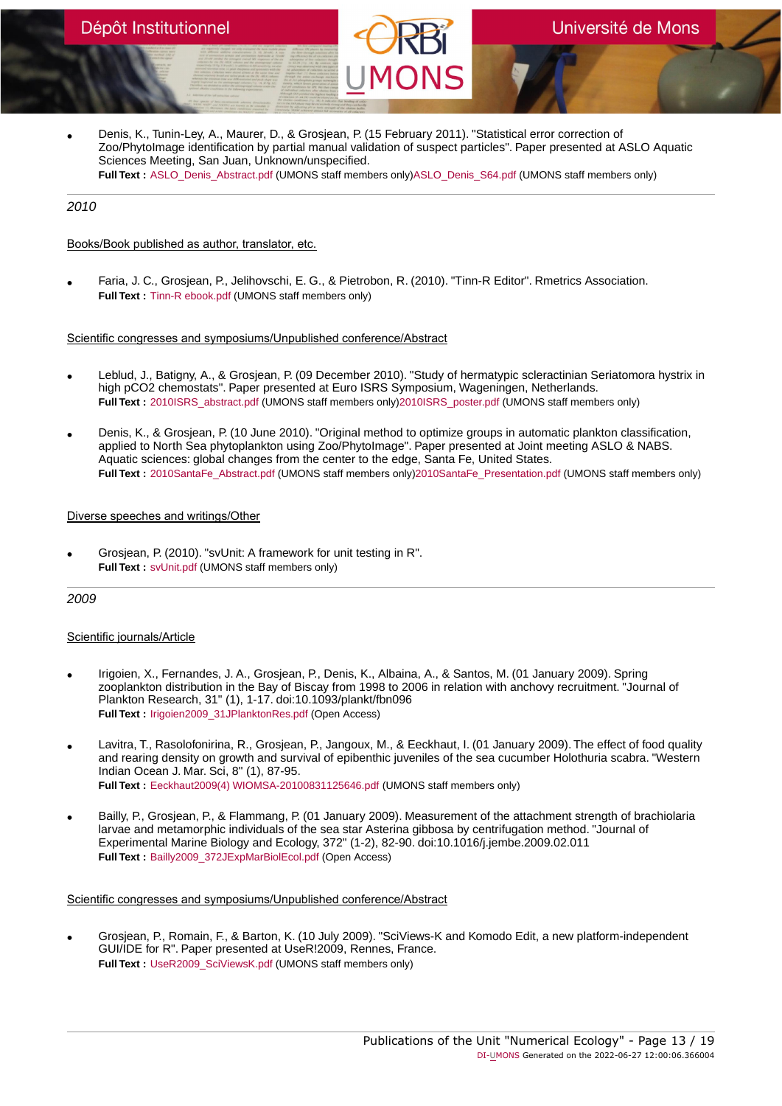• Denis, K., Tunin-Ley, A., Maurer, D., & Grosjean, P. (15 February 2011). "Statistical error correction of Zoo/PhytoImage identification by partial manual validation of suspect particles". Paper presented at ASLO Aquatic Sciences Meeting, San Juan, Unknown/unspecified. **Full Text :** [ASLO\\_Denis\\_Abstract.pdf](https://orbi.umons.ac.be/bitstream/20.500.12907/27401/2/ASLO_Denis_Abstract.pdf) (UMONS staff members only)[ASLO\\_Denis\\_S64.pdf](https://orbi.umons.ac.be/bitstream/20.500.12907/27401/3/ASLO_Denis_S64.pdf) (UMONS staff members only)

# 2010

# Books/Book published as author, translator, etc.

• Faria, J. C., Grosjean, P., Jelihovschi, E. G., & Pietrobon, R. (2010). "Tinn-R Editor". Rmetrics Association. **Full Text :** [Tinn-R ebook.pdf](https://orbi.umons.ac.be/bitstream/20.500.12907/6926/1/Tinn-R ebook.pdf) (UMONS staff members only)

#### Scientific congresses and symposiums/Unpublished conference/Abstract

- Leblud, J., Batigny, A., & Grosjean, P. (09 December 2010). "Study of hermatypic scleractinian Seriatomora hystrix in high pCO2 chemostats". Paper presented at Euro ISRS Symposium, Wageningen, Netherlands. **Full Text :** [2010ISRS\\_abstract.pdf](https://orbi.umons.ac.be/bitstream/20.500.12907/7307/2/2010ISRS_abstract.pdf) (UMONS staff members only[\)2010ISRS\\_poster.pdf](https://orbi.umons.ac.be/bitstream/20.500.12907/7307/3/2010ISRS_poster.pdf) (UMONS staff members only)
- Denis, K., & Grosjean, P. (10 June 2010). "Original method to optimize groups in automatic plankton classification, applied to North Sea phytoplankton using Zoo/PhytoImage". Paper presented at Joint meeting ASLO & NABS. Aquatic sciences: global changes from the center to the edge, Santa Fe, United States. **Full Text :** [2010SantaFe\\_Abstract.pdf](https://orbi.umons.ac.be/bitstream/20.500.12907/16182/2/2010SantaFe_Abstract.pdf) (UMONS staff members only[\)2010SantaFe\\_Presentation.pdf](https://orbi.umons.ac.be/bitstream/20.500.12907/16182/3/2010SantaFe_Presentation.pdf) (UMONS staff members only)

#### Diverse speeches and writings/Other

• Grosjean, P. (2010). "svUnit: A framework for unit testing in R". **Full Text :** [svUnit.pdf](https://orbi.umons.ac.be/bitstream/20.500.12907/34509/1/svUnit.pdf) (UMONS staff members only)

# 2009

# Scientific journals/Article

- Irigoien, X., Fernandes, J. A., Grosjean, P., Denis, K., Albaina, A., & Santos, M. (01 January 2009). Spring zooplankton distribution in the Bay of Biscay from 1998 to 2006 in relation with anchovy recruitment. "Journal of Plankton Research, 31" (1), 1-17. doi:10.1093/plankt/fbn096 **Full Text :** [Irigoien2009\\_31JPlanktonRes.pdf](https://orbi.umons.ac.be/bitstream/20.500.12907/7169/1/Irigoien2009_31JPlanktonRes.pdf) (Open Access)
- Lavitra, T., Rasolofonirina, R., Grosjean, P., Jangoux, M., & Eeckhaut, I. (01 January 2009). The effect of food quality and rearing density on growth and survival of epibenthic juveniles of the sea cucumber Holothuria scabra. "Western Indian Ocean J. Mar. Sci, 8" (1), 87-95. **Full Text :** [Eeckhaut2009\(4\) WIOMSA-20100831125646.pdf](https://orbi.umons.ac.be/bitstream/20.500.12907/17772/1/Eeckhaut2009(4) WIOMSA-20100831125646.pdf) (UMONS staff members only)
- Bailly, P., Grosjean, P., & Flammang, P. (01 January 2009). Measurement of the attachment strength of brachiolaria larvae and metamorphic individuals of the sea star Asterina gibbosa by centrifugation method. "Journal of Experimental Marine Biology and Ecology, 372" (1-2), 82-90. doi:10.1016/j.jembe.2009.02.011 **Full Text :** [Bailly2009\\_372JExpMarBiolEcol.pdf](https://orbi.umons.ac.be/bitstream/20.500.12907/30085/1/Bailly2009_372JExpMarBiolEcol.pdf) (Open Access)

#### Scientific congresses and symposiums/Unpublished conference/Abstract

• Grosjean, P., Romain, F., & Barton, K. (10 July 2009). "SciViews-K and Komodo Edit, a new platform-independent GUI/IDE for R". Paper presented at UseR!2009, Rennes, France. **Full Text :** [UseR2009\\_SciViewsK.pdf](https://orbi.umons.ac.be/bitstream/20.500.12907/27760/1/UseR2009_SciViewsK.pdf) (UMONS staff members only)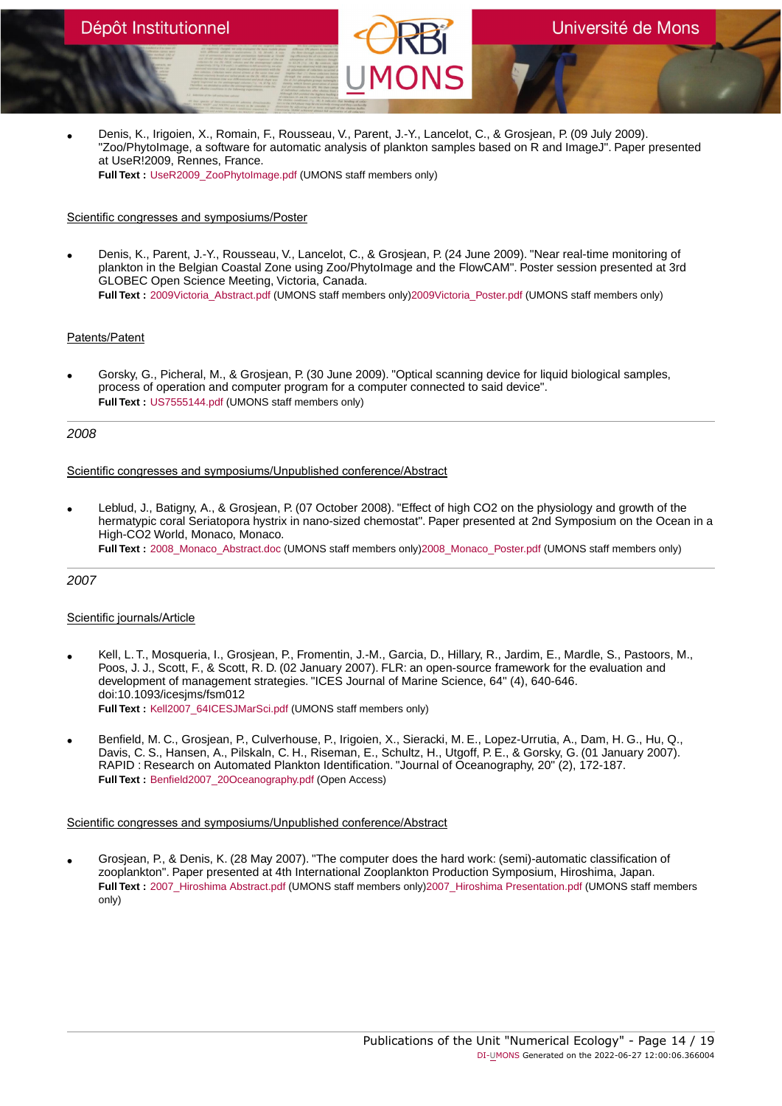• Denis, K., Irigoien, X., Romain, F., Rousseau, V., Parent, J.-Y., Lancelot, C., & Grosjean, P. (09 July 2009). "Zoo/PhytoImage, a software for automatic analysis of plankton samples based on R and ImageJ". Paper presented at UseR!2009, Rennes, France. **Full Text :** [UseR2009\\_ZooPhytoImage.pdf](https://orbi.umons.ac.be/bitstream/20.500.12907/35737/1/UseR2009_ZooPhytoImage.pdf) (UMONS staff members only)

# Scientific congresses and symposiums/Poster

• Denis, K., Parent, J.-Y., Rousseau, V., Lancelot, C., & Grosjean, P. (24 June 2009). "Near real-time monitoring of plankton in the Belgian Coastal Zone using Zoo/PhytoImage and the FlowCAM". Poster session presented at 3rd GLOBEC Open Science Meeting, Victoria, Canada. **Full Text :** [2009Victoria\\_Abstract.pdf](https://orbi.umons.ac.be/bitstream/20.500.12907/432/2/2009Victoria_Abstract.pdf) (UMONS staff members only[\)2009Victoria\\_Poster.pdf](https://orbi.umons.ac.be/bitstream/20.500.12907/432/3/2009Victoria_Poster.pdf) (UMONS staff members only)

# Patents/Patent

• Gorsky, G., Picheral, M., & Grosjean, P. (30 June 2009). "Optical scanning device for liquid biological samples, process of operation and computer program for a computer connected to said device". **Full Text :** [US7555144.pdf](https://orbi.umons.ac.be/bitstream/20.500.12907/11936/1/US7555144.pdf) (UMONS staff members only)

# 2008

# Scientific congresses and symposiums/Unpublished conference/Abstract

• Leblud, J., Batigny, A., & Grosjean, P. (07 October 2008). "Effect of high CO2 on the physiology and growth of the hermatypic coral Seriatopora hystrix in nano-sized chemostat". Paper presented at 2nd Symposium on the Ocean in a High-CO2 World, Monaco, Monaco. **Full Text :** [2008\\_Monaco\\_Abstract.doc](https://orbi.umons.ac.be/bitstream/20.500.12907/19742/2/2008_Monaco_Abstract.doc) (UMONS staff members only[\)2008\\_Monaco\\_Poster.pdf](https://orbi.umons.ac.be/bitstream/20.500.12907/19742/3/2008_Monaco_Poster.pdf) (UMONS staff members only)

# 2007

# Scientific journals/Article

- Kell, L. T., Mosqueria, I., Grosjean, P., Fromentin, J.-M., Garcia, D., Hillary, R., Jardim, E., Mardle, S., Pastoors, M., Poos, J. J., Scott, F., & Scott, R. D. (02 January 2007). FLR: an open-source framework for the evaluation and development of management strategies. "ICES Journal of Marine Science, 64" (4), 640-646. doi:10.1093/icesjms/fsm012 **Full Text :** [Kell2007\\_64ICESJMarSci.pdf](https://orbi.umons.ac.be/bitstream/20.500.12907/37693/1/Kell2007_64ICESJMarSci.pdf) (UMONS staff members only)
- Benfield, M. C., Grosjean, P., Culverhouse, P., Irigoien, X., Sieracki, M. E., Lopez-Urrutia, A., Dam, H. G., Hu, Q., Davis, C. S., Hansen, A., Pilskaln, C. H., Riseman, E., Schultz, H., Utgoff, P. E., & Gorsky, G. (01 January 2007). RAPID : Research on Automated Plankton Identification. "Journal of Oceanography, 20" (2), 172-187. **Full Text :** [Benfield2007\\_20Oceanography.pdf](https://orbi.umons.ac.be/bitstream/20.500.12907/23763/1/Benfield2007_20Oceanography.pdf) (Open Access)

# Scientific congresses and symposiums/Unpublished conference/Abstract

• Grosjean, P., & Denis, K. (28 May 2007). "The computer does the hard work: (semi)-automatic classification of zooplankton". Paper presented at 4th International Zooplankton Production Symposium, Hiroshima, Japan. **Full Text :** [2007\\_Hiroshima Abstract.pdf](https://orbi.umons.ac.be/bitstream/20.500.12907/773/2/2007_Hiroshima Abstract.pdf) (UMONS staff members only)[2007\\_Hiroshima Presentation.pdf](https://orbi.umons.ac.be/bitstream/20.500.12907/773/3/2007_Hiroshima Presentation.pdf) (UMONS staff members only)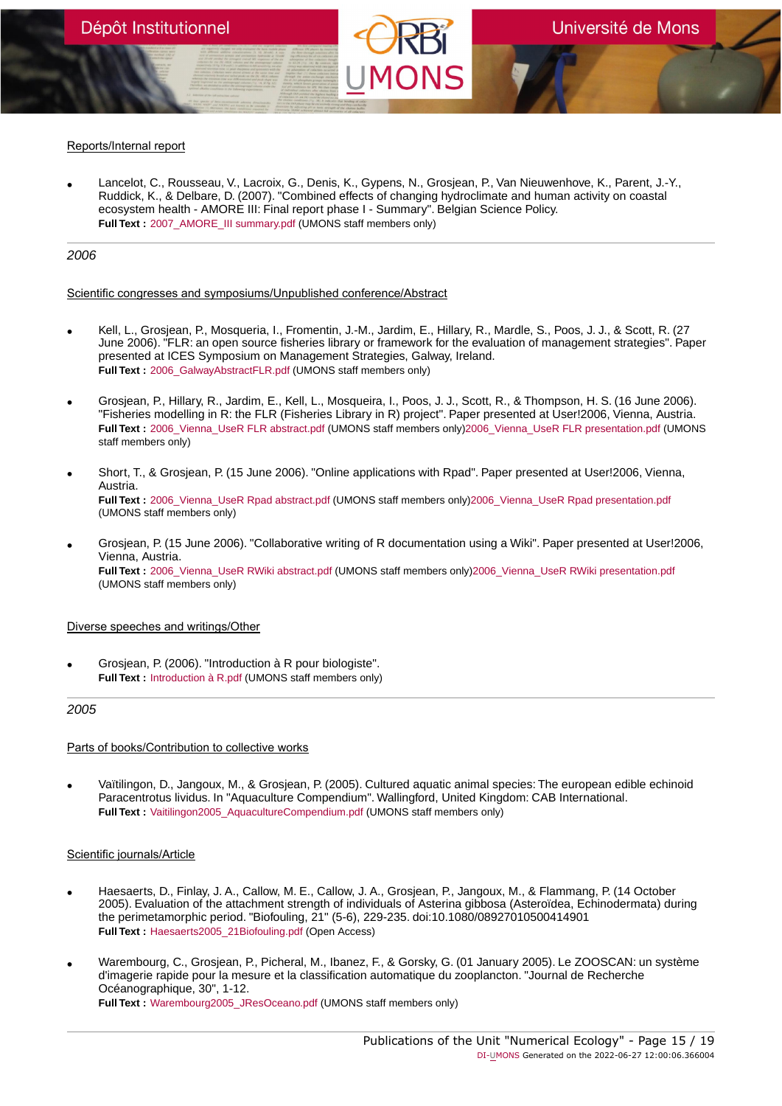# Reports/Internal report

• Lancelot, C., Rousseau, V., Lacroix, G., Denis, K., Gypens, N., Grosjean, P., Van Nieuwenhove, K., Parent, J.-Y., Ruddick, K., & Delbare, D. (2007). "Combined effects of changing hydroclimate and human activity on coastal ecosystem health - AMORE III: Final report phase I - Summary". Belgian Science Policy. **Full Text :** [2007\\_AMORE\\_III summary.pdf](https://orbi.umons.ac.be/bitstream/20.500.12907/31493/1/2007_AMORE_III summary.pdf) (UMONS staff members only)

# 2006

#### Scientific congresses and symposiums/Unpublished conference/Abstract

- Kell, L., Grosjean, P., Mosqueria, I., Fromentin, J.-M., Jardim, E., Hillary, R., Mardle, S., Poos, J. J., & Scott, R. (27 June 2006). "FLR: an open source fisheries library or framework for the evaluation of management strategies". Paper presented at ICES Symposium on Management Strategies, Galway, Ireland. **Full Text** : 2006 GalwayAbstractFLR.pdf (UMONS staff members only)
- Grosjean, P., Hillary, R., Jardim, E., Kell, L., Mosqueira, I., Poos, J. J., Scott, R., & Thompson, H. S. (16 June 2006). "Fisheries modelling in R: the FLR (Fisheries Library in R) project". Paper presented at User!2006, Vienna, Austria. **Full Text :** [2006\\_Vienna\\_UseR FLR abstract.pdf](https://orbi.umons.ac.be/bitstream/20.500.12907/13248/2/2006_Vienna_UseR FLR abstract.pdf) (UMONS staff members only[\)2006\\_Vienna\\_UseR FLR presentation.pdf](https://orbi.umons.ac.be/bitstream/20.500.12907/13248/3/2006_Vienna_UseR FLR presentation.pdf) (UMONS staff members only)
- Short, T., & Grosjean, P. (15 June 2006). "Online applications with Rpad". Paper presented at User!2006, Vienna, Austria. **Full Text :** [2006\\_Vienna\\_UseR Rpad abstract.pdf](https://orbi.umons.ac.be/bitstream/20.500.12907/14142/2/2006_Vienna_UseR Rpad abstract.pdf) (UMONS staff members only[\)2006\\_Vienna\\_UseR Rpad presentation.pdf](https://orbi.umons.ac.be/bitstream/20.500.12907/14142/3/2006_Vienna_UseR Rpad presentation.pdf) (UMONS staff members only)
- Grosjean, P. (15 June 2006). "Collaborative writing of R documentation using a Wiki". Paper presented at User!2006, Vienna, Austria. Full Text : 2006 Vienna UseR RWiki abstract.pdf (UMONS staff members only)2006 Vienna UseR RWiki presentation.pdf (UMONS staff members only)

# Diverse speeches and writings/Other

• Grosjean, P. (2006). "Introduction à R pour biologiste". **Full Text :** [Introduction à R.pdf](https://orbi.umons.ac.be/bitstream/20.500.12907/26801/1/Introduction � R.pdf) (UMONS staff members only)

#### 2005

# Parts of books/Contribution to collective works

• Vaïtilingon, D., Jangoux, M., & Grosjean, P. (2005). Cultured aquatic animal species: The european edible echinoid Paracentrotus lividus. In "Aquaculture Compendium". Wallingford, United Kingdom: CAB International. **Full Text :** [Vaitilingon2005\\_AquacultureCompendium.pdf](https://orbi.umons.ac.be/bitstream/20.500.12907/631/1/Vaitilingon2005_AquacultureCompendium.pdf) (UMONS staff members only)

- Haesaerts, D., Finlay, J. A., Callow, M. E., Callow, J. A., Grosjean, P., Jangoux, M., & Flammang, P. (14 October 2005). Evaluation of the attachment strength of individuals of Asterina gibbosa (Asteroïdea, Echinodermata) during the perimetamorphic period. "Biofouling, 21" (5-6), 229-235. doi:10.1080/08927010500414901 **Full Text :** [Haesaerts2005\\_21Biofouling.pdf](https://orbi.umons.ac.be/bitstream/20.500.12907/25011/1/Haesaerts2005_21Biofouling.pdf) (Open Access)
- Warembourg, C., Grosjean, P., Picheral, M., Ibanez, F., & Gorsky, G. (01 January 2005). Le ZOOSCAN: un système d'imagerie rapide pour la mesure et la classification automatique du zooplancton. "Journal de Recherche Océanographique, 30", 1-12. **Full Text :** [Warembourg2005\\_JResOceano.pdf](https://orbi.umons.ac.be/bitstream/20.500.12907/7945/1/Warembourg2005_JResOceano.pdf) (UMONS staff members only)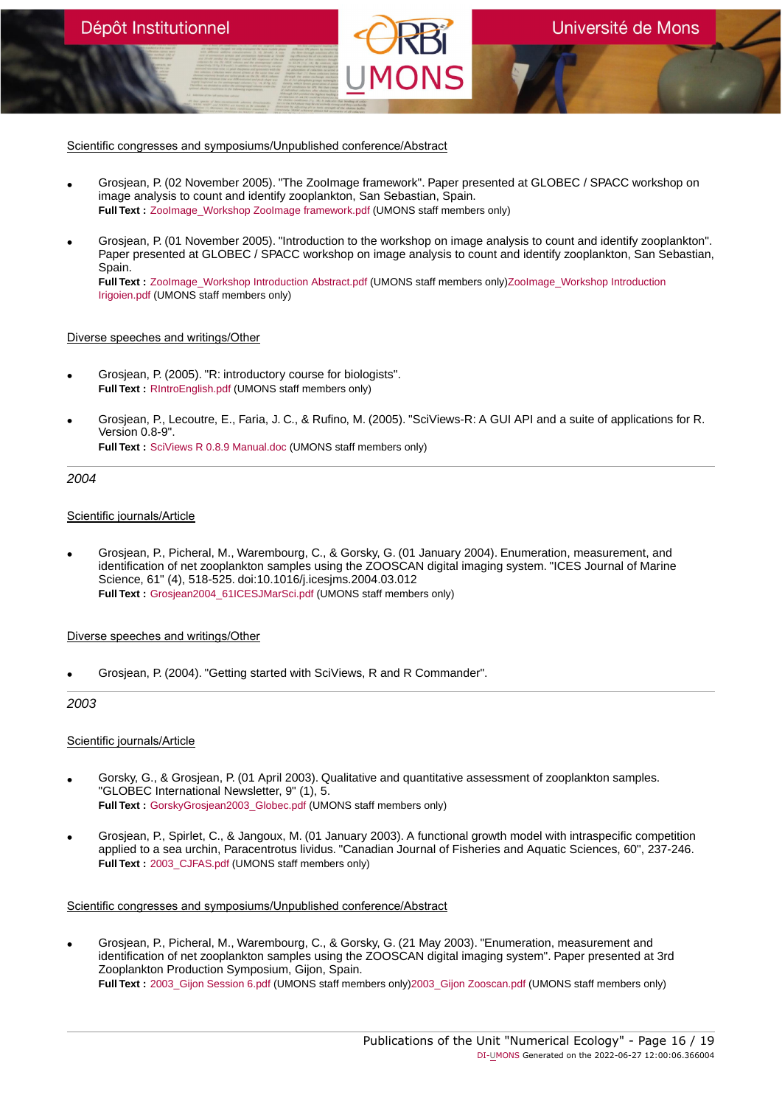Scientific congresses and symposiums/Unpublished conference/Abstract

- Grosjean, P. (02 November 2005). "The ZooImage framework". Paper presented at GLOBEC / SPACC workshop on image analysis to count and identify zooplankton, San Sebastian, Spain. **Full Text :** [ZooImage\\_Workshop ZooImage framework.pdf](https://orbi.umons.ac.be/bitstream/20.500.12907/18646/1/ZooImage_Workshop ZooImage framework.pdf) (UMONS staff members only)
- Grosjean, P. (01 November 2005). "Introduction to the workshop on image analysis to count and identify zooplankton". Paper presented at GLOBEC / SPACC workshop on image analysis to count and identify zooplankton, San Sebastian, Spain.

**Full Text :** Zoolmage Workshop Introduction Abstract.pdf (UMONS staff members only)Zoolmage Workshop Introduction [Irigoien.pdf](https://orbi.umons.ac.be/bitstream/20.500.12907/33592/3/ZooImage_Workshop Introduction Irigoien.pdf) (UMONS staff members only)

# Diverse speeches and writings/Other

- Grosjean, P. (2005). "R: introductory course for biologists". **Full Text :** [RIntroEnglish.pdf](https://orbi.umons.ac.be/bitstream/20.500.12907/15269/1/RIntroEnglish.pdf) (UMONS staff members only)
- Grosjean, P., Lecoutre, E., Faria, J. C., & Rufino, M. (2005). "SciViews-R: A GUI API and a suite of applications for R. Version 0.8-9". **Full Text :** [SciViews R 0.8.9 Manual.doc](https://orbi.umons.ac.be/bitstream/20.500.12907/31368/1/SciViews R 0.8.9 Manual.doc) (UMONS staff members only)

# 2004

# Scientific journals/Article

• Grosjean, P., Picheral, M., Warembourg, C., & Gorsky, G. (01 January 2004). Enumeration, measurement, and identification of net zooplankton samples using the ZOOSCAN digital imaging system. "ICES Journal of Marine Science, 61" (4), 518-525. doi:10.1016/j.icesjms.2004.03.012 **Full Text :** [Grosjean2004\\_61ICESJMarSci.pdf](https://orbi.umons.ac.be/bitstream/20.500.12907/13462/1/Grosjean2004_61ICESJMarSci.pdf) (UMONS staff members only)

# Diverse speeches and writings/Other

• Grosjean, P. (2004). "Getting started with SciViews, R and R Commander".

# 2003

# Scientific journals/Article

- Gorsky, G., & Grosjean, P. (01 April 2003). Qualitative and quantitative assessment of zooplankton samples. "GLOBEC International Newsletter, 9" (1), 5. **Full Text :** [GorskyGrosjean2003\\_Globec.pdf](https://orbi.umons.ac.be/bitstream/20.500.12907/2142/1/GorskyGrosjean2003_Globec.pdf) (UMONS staff members only)
- Grosjean, P., Spirlet, C., & Jangoux, M. (01 January 2003). A functional growth model with intraspecific competition applied to a sea urchin, Paracentrotus lividus. "Canadian Journal of Fisheries and Aquatic Sciences, 60", 237-246. Full Text : 2003 CJFAS.pdf (UMONS staff members only)

# Scientific congresses and symposiums/Unpublished conference/Abstract

• Grosjean, P., Picheral, M., Warembourg, C., & Gorsky, G. (21 May 2003). "Enumeration, measurement and identification of net zooplankton samples using the ZOOSCAN digital imaging system". Paper presented at 3rd Zooplankton Production Symposium, Gijon, Spain. **Full Text :** [2003\\_Gijon Session 6.pdf](https://orbi.umons.ac.be/bitstream/20.500.12907/7741/2/2003_Gijon Session 6.pdf) (UMONS staff members only[\)2003\\_Gijon Zooscan.pdf](https://orbi.umons.ac.be/bitstream/20.500.12907/7741/3/2003_Gijon Zooscan.pdf) (UMONS staff members only)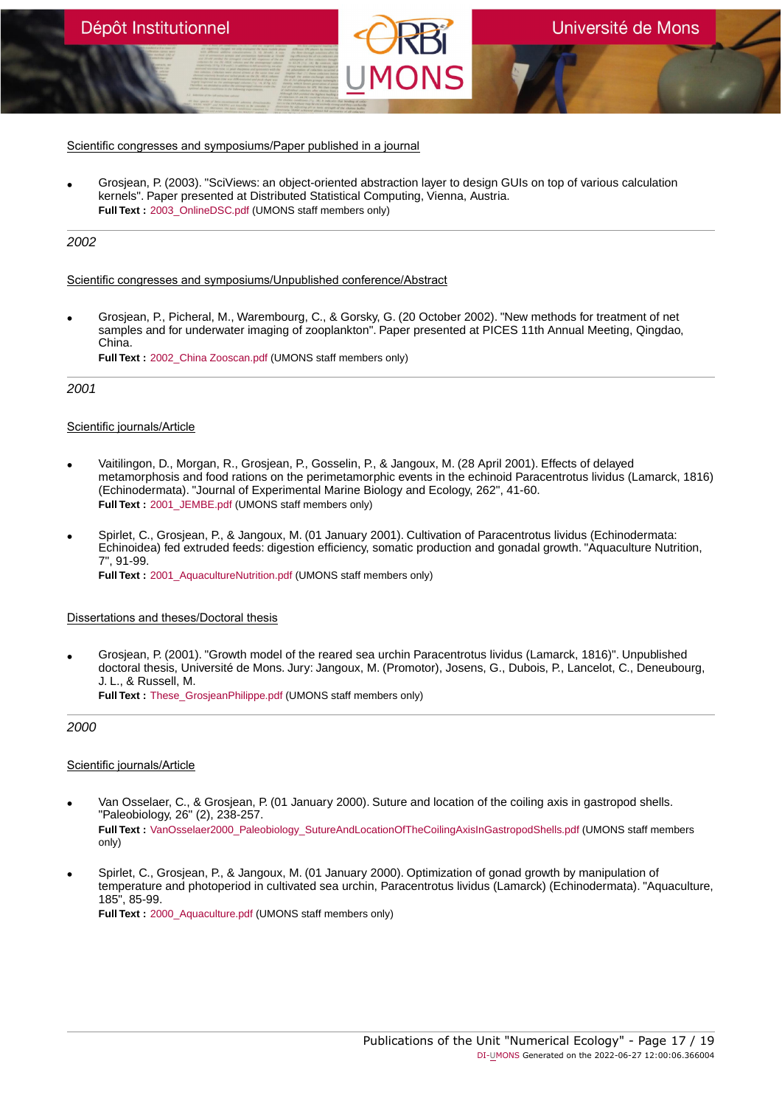• Grosjean, P. (2003). "SciViews: an object-oriented abstraction layer to design GUIs on top of various calculation kernels". Paper presented at Distributed Statistical Computing, Vienna, Austria. **Full Text :** [2003\\_OnlineDSC.pdf](https://orbi.umons.ac.be/bitstream/20.500.12907/3244/1/2003_OnlineDSC.pdf) (UMONS staff members only)

# 2002

# Scientific congresses and symposiums/Unpublished conference/Abstract

• Grosjean, P., Picheral, M., Warembourg, C., & Gorsky, G. (20 October 2002). "New methods for treatment of net samples and for underwater imaging of zooplankton". Paper presented at PICES 11th Annual Meeting, Qingdao, China. **Full Text :** [2002\\_China Zooscan.pdf](https://orbi.umons.ac.be/bitstream/20.500.12907/35825/1/2002_China Zooscan.pdf) (UMONS staff members only)

2001

# Scientific journals/Article

- Vaitilingon, D., Morgan, R., Grosjean, P., Gosselin, P., & Jangoux, M. (28 April 2001). Effects of delayed metamorphosis and food rations on the perimetamorphic events in the echinoid Paracentrotus lividus (Lamarck, 1816) (Echinodermata). "Journal of Experimental Marine Biology and Ecology, 262", 41-60. **Full Text :** [2001\\_JEMBE.pdf](https://orbi.umons.ac.be/bitstream/20.500.12907/8147/1/2001_JEMBE.pdf) (UMONS staff members only)
- Spirlet, C., Grosjean, P., & Jangoux, M. (01 January 2001). Cultivation of Paracentrotus lividus (Echinodermata: Echinoidea) fed extruded feeds: digestion efficiency, somatic production and gonadal growth. "Aquaculture Nutrition, 7", 91-99. **Full Text :** 2001 AquacultureNutrition.pdf (UMONS staff members only)

# Dissertations and theses/Doctoral thesis

• Grosjean, P. (2001). "Growth model of the reared sea urchin Paracentrotus lividus (Lamarck, 1816)". Unpublished doctoral thesis, Université de Mons. Jury: Jangoux, M. (Promotor), Josens, G., Dubois, P., Lancelot, C., Deneubourg, J. L., & Russell, M.

**Full Text :** [These\\_GrosjeanPhilippe.pdf](https://orbi.umons.ac.be/bitstream/20.500.12907/8672/1/These_GrosjeanPhilippe.pdf) (UMONS staff members only)

2000

- Van Osselaer, C., & Grosjean, P. (01 January 2000). Suture and location of the coiling axis in gastropod shells. "Paleobiology, 26" (2), 238-257. **Full Text :** [VanOsselaer2000\\_Paleobiology\\_SutureAndLocationOfTheCoilingAxisInGastropodShells.pdf](https://orbi.umons.ac.be/bitstream/20.500.12907/15503/1/VanOsselaer2000_Paleobiology_SutureAndLocationOfTheCoilingAxisInGastropodShells.pdf) (UMONS staff members only)
- Spirlet, C., Grosjean, P., & Jangoux, M. (01 January 2000). Optimization of gonad growth by manipulation of temperature and photoperiod in cultivated sea urchin, Paracentrotus lividus (Lamarck) (Echinodermata). "Aquaculture, 185", 85-99. **Full Text :** [2000\\_Aquaculture.pdf](https://orbi.umons.ac.be/bitstream/20.500.12907/31786/1/2000_Aquaculture.pdf) (UMONS staff members only)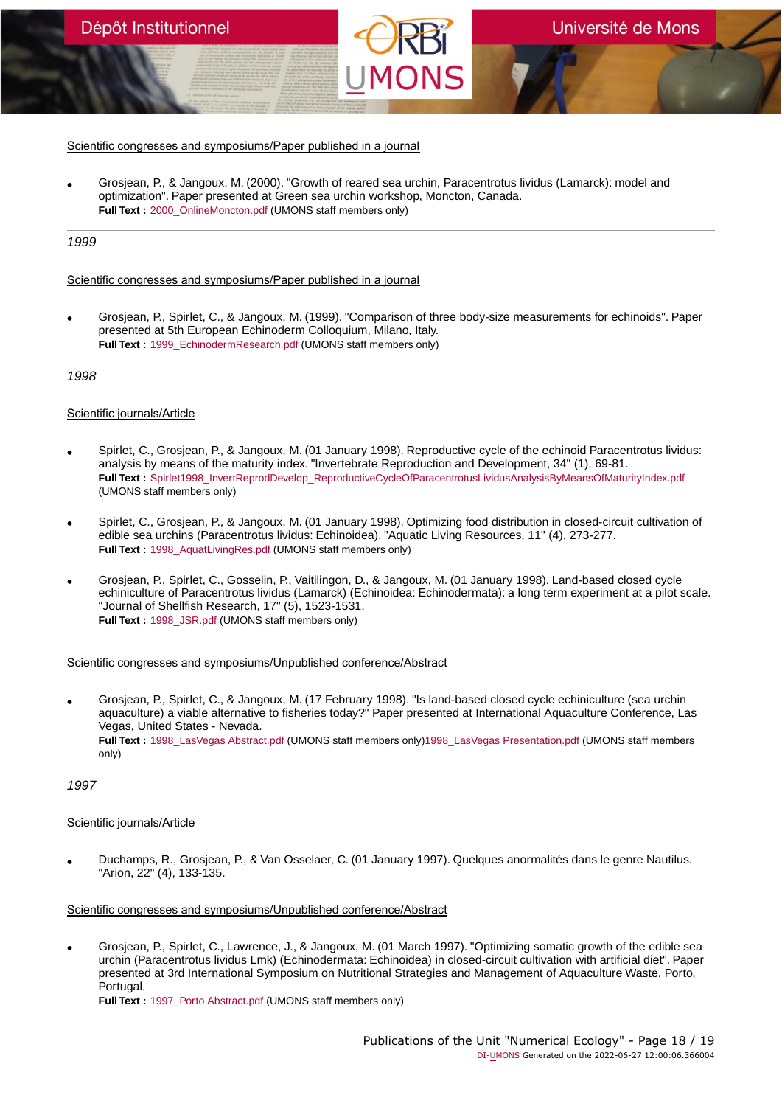• Grosjean, P., & Jangoux, M. (2000). "Growth of reared sea urchin, Paracentrotus lividus (Lamarck): model and optimization". Paper presented at Green sea urchin workshop, Moncton, Canada. **Full Text :** 2000 OnlineMoncton.pdf (UMONS staff members only)

# 1999

# Scientific congresses and symposiums/Paper published in a journal

• Grosjean, P., Spirlet, C., & Jangoux, M. (1999). "Comparison of three body-size measurements for echinoids". Paper presented at 5th European Echinoderm Colloquium, Milano, Italy. **Full Text :** [1999\\_EchinodermResearch.pdf](https://orbi.umons.ac.be/bitstream/20.500.12907/39760/1/1999_EchinodermResearch.pdf) (UMONS staff members only)

# 1998

# Scientific journals/Article

- Spirlet, C., Grosjean, P., & Jangoux, M. (01 January 1998). Reproductive cycle of the echinoid Paracentrotus lividus: analysis by means of the maturity index. "Invertebrate Reproduction and Development, 34" (1), 69-81. **Full Text :** [Spirlet1998\\_InvertReprodDevelop\\_ReproductiveCycleOfParacentrotusLividusAnalysisByMeansOfMaturityIndex.pdf](https://orbi.umons.ac.be/bitstream/20.500.12907/19983/1/Spirlet1998_InvertReprodDevelop_ReproductiveCycleOfParacentrotusLividusAnalysisByMeansOfMaturityIndex.pdf) (UMONS staff members only)
- Spirlet, C., Grosjean, P., & Jangoux, M. (01 January 1998). Optimizing food distribution in closed-circuit cultivation of edible sea urchins (Paracentrotus lividus: Echinoidea). "Aquatic Living Resources, 11" (4), 273-277. **Full Text :** [1998\\_AquatLivingRes.pdf](https://orbi.umons.ac.be/bitstream/20.500.12907/37568/1/1998_AquatLivingRes.pdf) (UMONS staff members only)
- Grosjean, P., Spirlet, C., Gosselin, P., Vaitilingon, D., & Jangoux, M. (01 January 1998). Land-based closed cycle echiniculture of Paracentrotus lividus (Lamarck) (Echinoidea: Echinodermata): a long term experiment at a pilot scale. "Journal of Shellfish Research, 17" (5), 1523-1531. **Full Text :** [1998\\_JSR.pdf](https://orbi.umons.ac.be/bitstream/20.500.12907/2879/1/1998_JSR.pdf) (UMONS staff members only)

# Scientific congresses and symposiums/Unpublished conference/Abstract

• Grosjean, P., Spirlet, C., & Jangoux, M. (17 February 1998). "Is land-based closed cycle echiniculture (sea urchin aquaculture) a viable alternative to fisheries today?" Paper presented at International Aquaculture Conference, Las Vegas, United States - Nevada. **Full Text :** [1998\\_LasVegas Abstract.pdf](https://orbi.umons.ac.be/bitstream/20.500.12907/14749/2/1998_LasVegas Abstract.pdf) (UMONS staff members only)[1998\\_LasVegas Presentation.pdf](https://orbi.umons.ac.be/bitstream/20.500.12907/14749/3/1998_LasVegas Presentation.pdf) (UMONS staff members only)

# 1997

# Scientific journals/Article

• Duchamps, R., Grosjean, P., & Van Osselaer, C. (01 January 1997). Quelques anormalités dans le genre Nautilus. "Arion, 22" (4), 133-135.

# Scientific congresses and symposiums/Unpublished conference/Abstract

• Grosjean, P., Spirlet, C., Lawrence, J., & Jangoux, M. (01 March 1997). "Optimizing somatic growth of the edible sea urchin (Paracentrotus lividus Lmk) (Echinodermata: Echinoidea) in closed-circuit cultivation with artificial diet". Paper presented at 3rd International Symposium on Nutritional Strategies and Management of Aquaculture Waste, Porto, Portugal.

**Full Text : 1997** Porto Abstract.pdf (UMONS staff members only)